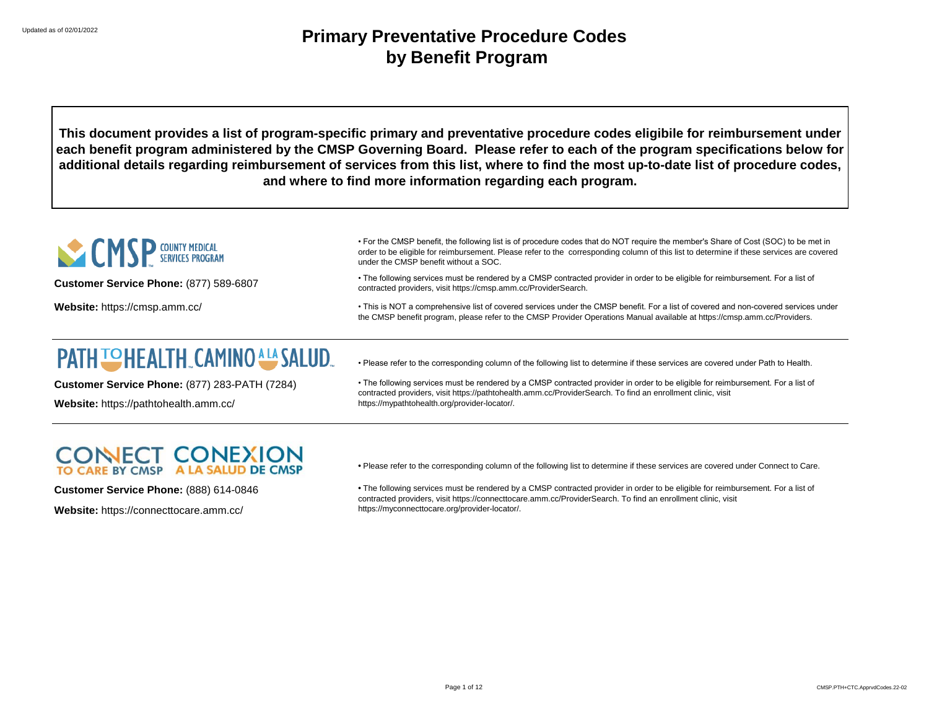### Updated as of 02/01/2022 **Primary Preventative Procedure Codes by Benefit Program**

**This document provides a list of program-specific primary and preventative procedure codes eligibile for reimbursement under each benefit program administered by the CMSP Governing Board. Please refer to each of the program specifications below for additional details regarding reimbursement of services from this list, where to find the most up-to-date list of procedure codes, and where to find more information regarding each program.**



## **PATH TO HEALTH CAMINO ALA SALUD.**

**Customer Service Phone:** (877) 283-PATH (7284)

**Website:** https://pathtohealth.amm.cc/

• Please refer to the corresponding column of the following list to determine if these services are covered under Path to Health.

• The following services must be rendered by a CMSP contracted provider in order to be eligible for reimbursement. For a list of contracted providers, visit https://pathtohealth.amm.cc/ProviderSearch. To find an enrollment clinic, visit https://mypathtohealth.org/provider-locator/.

# **CONNECT CONEXION**

**Customer Service Phone:** (888) 614-0846

**Website:** https://connecttocare.amm.cc/

**•** Please refer to the corresponding column of the following list to determine if these services are covered under Connect to Care.

**•** The following services must be rendered by a CMSP contracted provider in order to be eligible for reimbursement. For a list of contracted providers, visit https://connecttocare.amm.cc/ProviderSearch. To find an enrollment clinic, visit https://myconnecttocare.org/provider-locator/.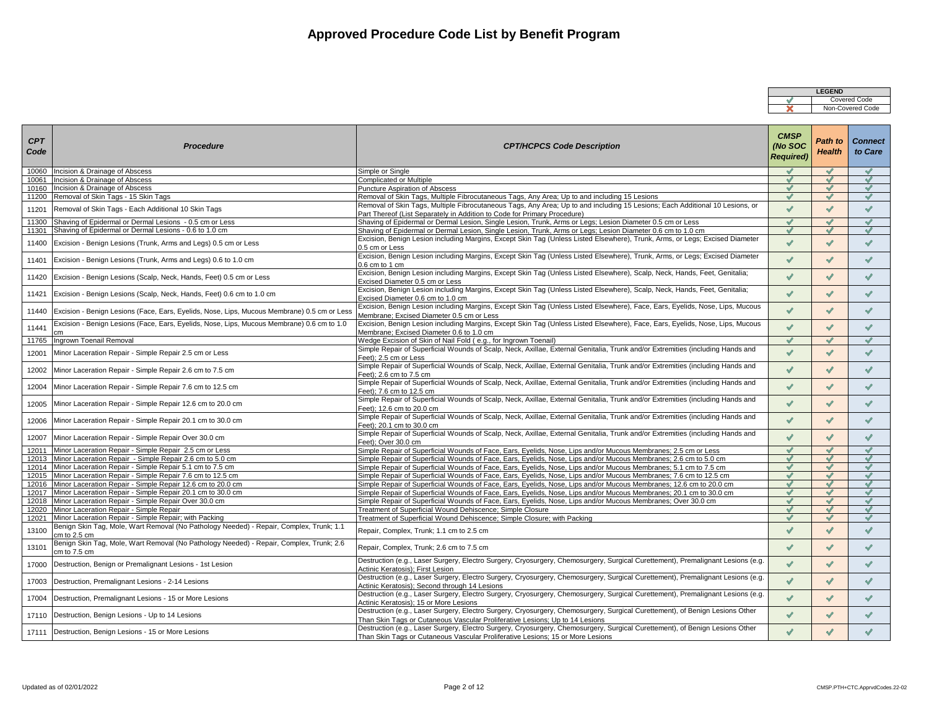| <b>LEGEND</b> |                  |
|---------------|------------------|
|               | Covered Code     |
|               | Non-Covered Code |

| <b>CPT</b><br>Code | <b>Procedure</b>                                                                                        | <b>CPT/HCPCS Code Description</b>                                                                                                                                                                              | <b>CMSP</b><br>(No SOC<br><b>Required)</b> | Path to<br><b>Health</b> | <b>Connect</b><br>to Care |
|--------------------|---------------------------------------------------------------------------------------------------------|----------------------------------------------------------------------------------------------------------------------------------------------------------------------------------------------------------------|--------------------------------------------|--------------------------|---------------------------|
| 10060              | Incision & Drainage of Abscess                                                                          | Simple or Single                                                                                                                                                                                               |                                            | $\checkmark$             | $\checkmark$              |
| 10061              | Incision & Drainage of Abscess                                                                          | <b>Complicated or Multiple</b>                                                                                                                                                                                 | $\checkmark$                               | ✔                        | $\checkmark$              |
| 10160              | Incision & Drainage of Abscess                                                                          | Puncture Aspiration of Abscess                                                                                                                                                                                 | $\checkmark$                               | $\checkmark$             | ✔                         |
| 11200              | Removal of Skin Tags - 15 Skin Tags                                                                     | Removal of Skin Tags, Multiple Fibrocutaneous Tags, Any Area; Up to and including 15 Lesions                                                                                                                   | $\checkmark$                               | ✔                        | $\checkmark$              |
| 11201              | Removal of Skin Tags - Each Additional 10 Skin Tags                                                     | Removal of Skin Tags, Multiple Fibrocutaneous Tags, Any Area; Up to and including 15 Lesions; Each Additional 10 Lesions, or<br>Part Thereof (List Separately in Addition to Code for Primary Procedure)       | $\checkmark$                               | $\checkmark$             | $\sqrt{2}$                |
| 11300              | Shaving of Epidermal or Dermal Lesions - 0.5 cm or Less                                                 | Shaving of Epidermal or Dermal Lesion, Single Lesion, Trunk, Arms or Legs; Lesion Diameter 0.5 cm or Less                                                                                                      | $\checkmark$                               | $\checkmark$             | $\checkmark$              |
| 11301              | Shaving of Epidermal or Dermal Lesions - 0.6 to 1.0 cm                                                  | Shaving of Epidermal or Dermal Lesion, Single Lesion, Trunk, Arms or Legs; Lesion Diameter 0.6 cm to 1.0 cm                                                                                                    | $\blacktriangledown$                       | M                        | $\checkmark$              |
| 11400              | Excision - Benign Lesions (Trunk, Arms and Legs) 0.5 cm or Less                                         | Excision, Benign Lesion including Margins, Except Skin Tag (Unless Listed Elsewhere), Trunk, Arms, or Legs; Excised Diameter<br>0.5 cm or Less                                                                 | $\checkmark$                               | $\checkmark$             | $\checkmark$              |
| 11401              | Excision - Benign Lesions (Trunk, Arms and Legs) 0.6 to 1.0 cm                                          | Excision, Benign Lesion including Margins, Except Skin Tag (Unless Listed Elsewhere), Trunk, Arms, or Legs; Excised Diameter<br>$0.6$ cm to 1 cm                                                               | $\checkmark$                               | $\checkmark$             | $\checkmark$              |
| 11420              | Excision - Benign Lesions (Scalp, Neck, Hands, Feet) 0.5 cm or Less                                     | Excision, Benign Lesion including Margins, Except Skin Tag (Unless Listed Elsewhere), Scalp, Neck, Hands, Feet, Genitalia;<br>Excised Diameter 0.5 cm or Less                                                  | $\checkmark$                               | $\checkmark$             | $\checkmark$              |
| 11421              | Excision - Benign Lesions (Scalp, Neck, Hands, Feet) 0.6 cm to 1.0 cm                                   | Excision, Benign Lesion including Margins, Except Skin Tag (Unless Listed Elsewhere), Scalp, Neck, Hands, Feet, Genitalia;<br>Excised Diameter 0.6 cm to 1.0 cm                                                | $\checkmark$                               | $\checkmark$             | $\checkmark$              |
| 11440              | Excision - Benign Lesions (Face, Ears, Eyelids, Nose, Lips, Mucous Membrane) 0.5 cm or Les              | Excision, Benign Lesion including Margins, Except Skin Tag (Unless Listed Elsewhere), Face, Ears, Eyelids, Nose, Lips, Mucous<br>Membrane; Excised Diameter 0.5 cm or Less                                     | $\checkmark$                               | $\checkmark$             | $\checkmark$              |
| 11441              | Excision - Benign Lesions (Face, Ears, Eyelids, Nose, Lips, Mucous Membrane) 0.6 cm to 1.0<br>r.m       | Excision, Benign Lesion including Margins, Except Skin Tag (Unless Listed Elsewhere), Face, Ears, Eyelids, Nose, Lips, Mucous<br>Membrane; Excised Diameter 0.6 to 1.0 cm                                      | $\checkmark$                               | $\checkmark$             | $\checkmark$              |
| 11765              | Ingrown Toenail Removal                                                                                 | Wedge Excision of Skin of Nail Fold (e.g., for Ingrown Toenail)                                                                                                                                                | ✔                                          | M                        | $\checkmark$              |
| 12001              | Minor Laceration Repair - Simple Repair 2.5 cm or Less                                                  | Simple Repair of Superficial Wounds of Scalp, Neck, Axillae, External Genitalia, Trunk and/or Extremities (including Hands and<br>Feet); 2.5 cm or Less                                                        | $\checkmark$                               | $\checkmark$             | $\checkmark$              |
| 12002              | Minor Laceration Repair - Simple Repair 2.6 cm to 7.5 cm                                                | Simple Repair of Superficial Wounds of Scalp, Neck, Axillae, External Genitalia, Trunk and/or Extremities (including Hands and<br>Feet): 2.6 cm to 7.5 cm                                                      | $\checkmark$                               | $\checkmark$             | $\checkmark$              |
| 12004              | Minor Laceration Repair - Simple Repair 7.6 cm to 12.5 cm                                               | Simple Repair of Superficial Wounds of Scalp, Neck, Axillae, External Genitalia, Trunk and/or Extremities (including Hands and<br>Feet); 7.6 cm to 12.5 cm                                                     | $\sqrt{2}$                                 | $\checkmark$             | $\checkmark$              |
| 12005              | Minor Laceration Repair - Simple Repair 12.6 cm to 20.0 cm                                              | Simple Repair of Superficial Wounds of Scalp, Neck, Axillae, External Genitalia, Trunk and/or Extremities (including Hands and<br>Feet); 12.6 cm to 20.0 cm                                                    | $\checkmark$                               | $\checkmark$             | $\sqrt{2}$                |
| 12006              | Minor Laceration Repair - Simple Repair 20.1 cm to 30.0 cm                                              | Simple Repair of Superficial Wounds of Scalp, Neck, Axillae, External Genitalia, Trunk and/or Extremities (including Hands and<br>Feet); 20.1 cm to 30.0 cm                                                    | $\checkmark$                               | $\checkmark$             | $\checkmark$              |
| 12007              | Minor Laceration Repair - Simple Repair Over 30.0 cm                                                    | Simple Repair of Superficial Wounds of Scalp, Neck, Axillae, External Genitalia, Trunk and/or Extremities (including Hands and<br>Feet): Over 30.0 cm                                                          | $\checkmark$                               | $\checkmark$             | $\checkmark$              |
| 12011              | Minor Laceration Repair - Simple Repair 2.5 cm or Less                                                  | Simple Repair of Superficial Wounds of Face, Ears, Eyelids, Nose, Lips and/or Mucous Membranes; 2.5 cm or Less                                                                                                 | $\checkmark$                               | $\checkmark$             | $\mathcal{I}$             |
| 12013              | Minor Laceration Repair - Simple Repair 2.6 cm to 5.0 cm                                                | Simple Repair of Superficial Wounds of Face. Ears. Evelids. Nose. Lips and/or Mucous Membranes: 2.6 cm to 5.0 cm                                                                                               | $\checkmark$                               | ✔                        | ✔                         |
| 12014              | Minor Laceration Repair - Simple Repair 5.1 cm to 7.5 cm                                                | Simple Repair of Superficial Wounds of Face, Ears, Eyelids, Nose, Lips and/or Mucous Membranes; 5.1 cm to 7.5 cm                                                                                               | ✔                                          | $\checkmark$             | $\checkmark$              |
| 12015              | Minor Laceration Repair - Simple Repair 7.6 cm to 12.5 cm                                               | Simple Repair of Superficial Wounds of Face, Ears, Eyelids, Nose, Lips and/or Mucous Membranes; 7.6 cm to 12.5 cm                                                                                              | ✔                                          | $\checkmark$             | ✔                         |
| 12016              | Minor Laceration Repair - Simple Repair 12.6 cm to 20.0 cm                                              | Simple Repair of Superficial Wounds of Face, Ears, Eyelids, Nose, Lips and/or Mucous Membranes; 12.6 cm to 20.0 cm                                                                                             | $\checkmark$                               | $\checkmark$             | $\checkmark$              |
| 12017              | Minor Laceration Repair - Simple Repair 20.1 cm to 30.0 cm                                              | Simple Repair of Superficial Wounds of Face, Ears, Eyelids, Nose, Lips and/or Mucous Membranes; 20.1 cm to 30.0 cm                                                                                             | $\checkmark$                               | $\checkmark$             | $\checkmark$              |
| 12018              | Minor Laceration Repair - Simple Repair Over 30.0 cm                                                    | Simple Repair of Superficial Wounds of Face, Ears, Eyelids, Nose, Lips and/or Mucous Membranes; Over 30.0 cm                                                                                                   | $\checkmark$                               | $\checkmark$             | $\checkmark$              |
| 12020              | Minor Laceration Repair - Simple Repair                                                                 | Treatment of Superficial Wound Dehiscence; Simple Closure                                                                                                                                                      | $\checkmark$                               | $\checkmark$             | $\checkmark$              |
| 12021              | Minor Laceration Repair - Simple Repair; with Packing                                                   | Treatment of Superficial Wound Dehiscence; Simple Closure; with Packing                                                                                                                                        | $\checkmark$                               | ✔                        | ✔                         |
| 13100              | Benign Skin Tag, Mole, Wart Removal (No Pathology Needed) - Repair, Complex, Trunk; 1.1<br>cm to 2.5 cm | Repair, Complex, Trunk; 1.1 cm to 2.5 cm                                                                                                                                                                       | $\checkmark$                               | $\checkmark$             | $\checkmark$              |
| 13101              | Benign Skin Tag, Mole, Wart Removal (No Pathology Needed) - Repair, Complex, Trunk; 2.6<br>cm to 7.5 cm | Repair, Complex, Trunk; 2.6 cm to 7.5 cm                                                                                                                                                                       | $\checkmark$                               | $\checkmark$             | $\checkmark$              |
| 17000              | Destruction, Benign or Premalignant Lesions - 1st Lesion                                                | Destruction (e.g., Laser Surgery, Electro Surgery, Cryosurgery, Chemosurgery, Surgical Curettement), Premalignant Lesions (e.g.<br>Actinic Keratosis); First Lesion                                            | $\checkmark$                               | $\checkmark$             | $\checkmark$              |
| 17003              | Destruction, Premalignant Lesions - 2-14 Lesions                                                        | Destruction (e.g., Laser Surgery, Electro Surgery, Cryosurgery, Chemosurgery, Surgical Curettement), Premalignant Lesions (e.g.<br>Actinic Keratosis); Second through 14 Lesions                               | $\checkmark$                               | $\checkmark$             | $\checkmark$              |
| 17004              | Destruction, Premalignant Lesions - 15 or More Lesions                                                  | Destruction (e.g., Laser Surgery, Electro Surgery, Cryosurgery, Chemosurgery, Surgical Curettement), Premalignant Lesions (e.g.<br>Actinic Keratosis): 15 or More Lesions                                      | $\checkmark$                               | $\checkmark$             | $\checkmark$              |
| 17110              | Destruction, Benign Lesions - Up to 14 Lesions                                                          | Destruction (e.g., Laser Surgery, Electro Surgery, Cryosurgery, Chemosurgery, Surgical Curettement), of Benign Lesions Other<br>Than Skin Tags or Cutaneous Vascular Proliferative Lesions: Up to 14 Lesions   | $\checkmark$                               | $\checkmark$             | $\checkmark$              |
| 17111              | Destruction, Benign Lesions - 15 or More Lesions                                                        | Destruction (e.g., Laser Surgery, Electro Surgery, Cryosurgery, Chemosurgery, Surgical Curettement), of Benign Lesions Other<br>Than Skin Tags or Cutaneous Vascular Proliferative Lesions; 15 or More Lesions | $\checkmark$                               | $\checkmark$             | $\checkmark$              |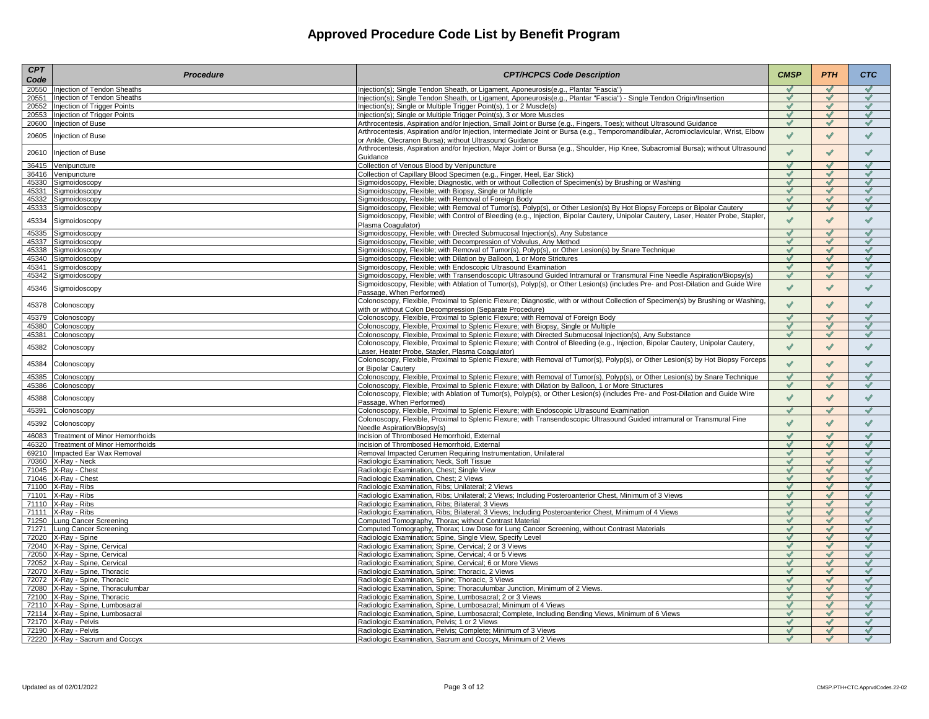| <b>CPT</b><br>Code | <b>Procedure</b>                                      | <b>CPT/HCPCS Code Description</b>                                                                                                                                                             | <b>CMSP</b>                  | <b>PTH</b>                | <b>CTC</b>        |
|--------------------|-------------------------------------------------------|-----------------------------------------------------------------------------------------------------------------------------------------------------------------------------------------------|------------------------------|---------------------------|-------------------|
| 20550              | njection of Tendon Sheaths                            | njection(s); Single Tendon Sheath, or Ligament, Aponeurosis(e.g., Plantar "Fascia"                                                                                                            | $\overline{\mathscr{L}}$     | $\overline{\mathcal{L}}$  | $\sqrt{2}$        |
| 20551              | Injection of Tendon Sheaths                           | njection(s); Single Tendon Sheath, or Ligament, Aponeurosis(e.g., Plantar "Fascia") - Single Tendon Origin/Insertion                                                                          | $\checkmark$                 | $\checkmark$              | $\checkmark$      |
| 20552              | Injection of Trigger Points                           | njection(s); Single or Multiple Trigger Point(s), 1 or 2 Muscle(s)                                                                                                                            | $\mathscr{A}$                | ✔                         | ✔                 |
| 20553              | Injection of Trigger Points                           | Injection(s); Single or Multiple Trigger Point(s), 3 or More Muscles                                                                                                                          | $\checkmark$                 | $\checkmark$              | $\checkmark$      |
| 20600              | Injection of Buse                                     | Arthrocentesis, Aspiration and/or Injection, Small Joint or Burse (e.g., Fingers, Toes); without Ultrasound Guidance                                                                          | $\checkmark$                 | $\checkmark$              | $\checkmark$      |
| 20605              | Injection of Buse                                     | Arthrocentesis, Aspiration and/or Injection, Intermediate Joint or Bursa (e.g., Temporomandibular, Acromioclavicular, Wrist, Elbow<br>or Ankle, Olecranon Bursa); without Ultrasound Guidance | $\checkmark$                 | $\checkmark$              | $\checkmark$      |
| 20610              | Injection of Buse                                     | Arthrocentesis, Aspiration and/or Injection, Major Joint or Bursa (e.g., Shoulder, Hip Knee, Subacromial Bursa); without Ultrasound<br>Guidance                                               | $\checkmark$                 | $\overline{\mathscr{A}}$  | $\checkmark$      |
| 36415              | Venipuncture                                          | Collection of Venous Blood by Venipuncture                                                                                                                                                    | $\checkmark$                 | J                         | $\checkmark$      |
| 36416              | Venipuncture                                          | Collection of Capillary Blood Specimen (e.g., Finger, Heel, Ear Stick)                                                                                                                        | $\checkmark$                 | $\checkmark$              | $\checkmark$      |
| 45330              | Sigmoidoscopy                                         | Sigmoidoscopy, Flexible; Diagnostic, with or without Collection of Specimen(s) by Brushing or Washing                                                                                         | $\checkmark$                 | $\checkmark$              | $\checkmark$      |
| 45331              | Sigmoidoscopy                                         | Sigmoidoscopy, Flexible; with Biopsy, Single or Multiple                                                                                                                                      | ✔                            | ✔                         | ✔                 |
| 45332              | Sigmoidoscopy                                         | Sigmoidoscopy, Flexible; with Removal of Foreign Body                                                                                                                                         | $\checkmark$                 | $\checkmark$              | ✔                 |
| 45333              | Sigmoidoscopy                                         | Sigmoidoscopy, Flexible; with Removal of Tumor(s), Polyp(s), or Other Lesion(s) By Hot Biopsy Forceps or Bipolar Cautery                                                                      | ✔                            | ✔                         | $\checkmark$      |
| 45334              | Sigmoidoscopy                                         | Sigmoidoscopy, Flexible; with Control of Bleeding (e.g., Injection, Bipolar Cautery, Unipolar Cautery, Laser, Heater Probe, Stapler,<br>Plasma Coaqulator)                                    | $\checkmark$                 | $\checkmark$              | $\checkmark$      |
| 45335              | Siamoidoscopy                                         | Sigmoidoscopy, Flexible: with Directed Submucosal Injection(s), Any Substance                                                                                                                 | $\checkmark$                 | $\checkmark$              | $\checkmark$      |
| 45337              | Sigmoidoscopy                                         | Sigmoidoscopy, Flexible; with Decompression of Volvulus, Any Method                                                                                                                           | ✔                            | $\checkmark$              | ✔                 |
| 45338              | Sigmoidoscopy                                         | Sigmoidoscopy, Flexible; with Removal of Tumor(s), Polyp(s), or Other Lesion(s) by Snare Technique                                                                                            | $\checkmark$                 | $\checkmark$              | $\checkmark$      |
| 45340              | Sigmoidoscopy                                         | Sigmoidoscopy, Flexible; with Dilation by Balloon, 1 or More Strictures                                                                                                                       | $\checkmark$                 | ✔                         | $\checkmark$      |
| 45341              | Sigmoidoscopy                                         | Sigmoidoscopy, Flexible; with Endoscopic Ultrasound Examination                                                                                                                               | $\checkmark$                 | J                         | ✔                 |
| 45342              | Sigmoidoscopy                                         | Sigmoidoscopy, Flexible; with Transendoscopic Ultrasound Guided Intramural or Transmural Fine Needle Aspiration/Biopsy(s)                                                                     | $\blacktriangledown$         | ✔                         | $\checkmark$      |
| 45346              | Sigmoidoscopy                                         | Sigmoidoscopy, Flexible; with Ablation of Tumor(s), Polyp(s), or Other Lesion(s) (includes Pre- and Post-Dilation and Guide Wire<br>Passage, When Performed)                                  | $\checkmark$                 | $\checkmark$              | $\checkmark$      |
| 45378              | Colonoscopy                                           | Colonoscopy, Flexible, Proximal to Splenic Flexure; Diagnostic, with or without Collection of Specimen(s) by Brushing or Washing,<br>with or without Colon Decompression (Separate Procedure) | $\checkmark$                 | $\checkmark$              | $\checkmark$      |
| 45379              | Colonoscopy                                           | Colonoscopy, Flexible, Proximal to Splenic Flexure; with Removal of Foreign Body                                                                                                              | $\checkmark$                 | $\checkmark$              | $\checkmark$      |
| 45380              | Colonoscopy                                           | Colonoscopy, Flexible, Proximal to Splenic Flexure; with Biopsy, Single or Multiple                                                                                                           | $\checkmark$                 | ✔                         | ✔                 |
| 45381              | Colonoscopy                                           | Colonoscopy, Flexible, Proximal to Splenic Flexure; with Directed Submucosal Injection(s), Any Substance                                                                                      | ✔                            | ✔                         | ✔                 |
|                    |                                                       | Colonoscopy, Flexible, Proximal to Splenic Flexure; with Control of Bleeding (e.g., Injection, Bipolar Cautery, Unipolar Cautery,                                                             | $\checkmark$                 | $\checkmark$              | $\checkmark$      |
| 45382              | Colonoscopy                                           | Laser, Heater Probe, Stapler, Plasma Coaqulator)                                                                                                                                              |                              |                           |                   |
| 45384              | Colonoscopy                                           | Colonoscopy, Flexible, Proximal to Splenic Flexure; with Removal of Tumor(s), Polyp(s), or Other Lesion(s) by Hot Biopsy Forceps<br>or Bipolar Cautery                                        | $\checkmark$                 | $\checkmark$              | $\checkmark$      |
| 45385              | Colonoscopy                                           | Colonoscopy, Flexible, Proximal to Splenic Flexure; with Removal of Tumor(s), Polyp(s), or Other Lesion(s) by Snare Technique                                                                 | $\checkmark$                 | $\checkmark$              | ✔                 |
| 45386              | Colonoscopy                                           | Colonoscopy, Flexible, Proximal to Splenic Flexure; with Dilation by Balloon, 1 or More Structures                                                                                            | $\checkmark$                 | $\checkmark$              | ✔                 |
| 45388              | Colonoscopy                                           | Colonoscopy, Flexible; with Ablation of Tumor(s), Polyp(s), or Other Lesion(s) (includes Pre- and Post-Dilation and Guide Wire<br>Passage, When Performed)                                    | $\checkmark$                 | $\checkmark$              | $\checkmark$      |
| 45391              | Colonoscopy                                           | Colonoscopy, Flexible, Proximal to Splenic Flexure; with Endoscopic Ultrasound Examination                                                                                                    | $\overline{\mathcal{L}}$     | $\checkmark$              | $\checkmark$      |
| 45392              | Colonoscopy                                           | Colonoscopy, Flexible, Proximal to Splenic Flexure; with Transendoscopic Ultrasound Guided intramural or Transmural Fine<br>Needle Aspiration/Biopsy(s)                                       | $\checkmark$                 | $\checkmark$              | $\checkmark$      |
| 46083              | <b>Treatment of Minor Hemorrhoids</b>                 | Incision of Thrombosed Hemorrhoid, External                                                                                                                                                   | ✔                            | $\overline{\mathcal{A}}$  | ✔                 |
| 46320              | Treatment of Minor Hemorrhoids                        | Incision of Thrombosed Hemorrhoid, External                                                                                                                                                   | ✔                            | ✔                         | ✔                 |
| 69210              | mpacted Ear Wax Removal                               | Removal Impacted Cerumen Requiring Instrumentation, Unilateral                                                                                                                                | $\checkmark$                 | $\overline{\mathscr{L}}$  | $\checkmark$      |
| 70360              | X-Rav - Neck                                          | Radiologic Examination: Neck. Soft Tissue                                                                                                                                                     | $\overline{\mathscr{L}}$     | $\checkmark$              | $\checkmark$      |
| 71045              | X-Ray - Chest                                         | Radiologic Examination, Chest; Single View                                                                                                                                                    | $\checkmark$                 | $\checkmark$              | ✔                 |
| 71046              | X-Ray - Chest                                         | Radiologic Examination, Chest; 2 Views                                                                                                                                                        | $\checkmark$                 | $\checkmark$              | $\checkmark$      |
| 71100              | X-Ray - Ribs                                          | Radiologic Examination, Ribs; Unilateral; 2 Views                                                                                                                                             | $\checkmark$                 | $\checkmark$              | ✔                 |
| 71101              | X-Ray - Ribs                                          | Radiologic Examination, Ribs; Unilateral; 2 Views; Including Posteroanterior Chest, Minimum of 3 Views                                                                                        | $\overline{\mathscr{L}}$     | $\overline{\mathcal{L}}$  | $\checkmark$      |
| 71110              | X-Ray - Ribs                                          | Radiologic Examination, Ribs; Bilateral; 3 Views                                                                                                                                              | ✔                            | $\checkmark$              | $\checkmark$      |
| 71111              | X-Ray - Ribs                                          | Radiologic Examination, Ribs; Bilateral; 3 Views; Including Posteroanterior Chest, Minimum of 4 Views                                                                                         |                              |                           | √                 |
| 71250              | Lung Cancer Screening                                 | Computed Tomography, Thorax; without Contrast Material                                                                                                                                        | $\checkmark$                 | $\checkmark$              | $\checkmark$      |
| 71271              | Lung Cancer Screening                                 | Computed Tomography, Thorax; Low Dose for Lung Cancer Screening, without Contrast Materials                                                                                                   | ✔                            | ✔                         | ✔                 |
| 72020              | X-Ray - Spine                                         | Radiologic Examination; Spine, Single View, Specify Level                                                                                                                                     | ✔                            | ✔                         | ✔                 |
| 72040              | X-Ray - Spine, Cervical                               | Radiologic Examination; Spine, Cervical; 2 or 3 Views                                                                                                                                         | $\checkmark$                 | $\checkmark$              | $\checkmark$      |
| 72050              | X-Ray - Spine, Cervical                               | Radiologic Examination; Spine, Cervical; 4 or 5 Views                                                                                                                                         | √                            | $\checkmark$              | ✔                 |
| 72052              | X-Ray - Spine, Cervical                               | Radiologic Examination; Spine, Cervical; 6 or More Views                                                                                                                                      | $\checkmark$<br>$\checkmark$ | $\checkmark$<br>$\sqrt{}$ | ✔<br>$\checkmark$ |
| 72070              | X-Ray - Spine, Thoracic                               | Radiologic Examination, Spine; Thoracic, 2 Views                                                                                                                                              | J                            | $\mathcal{L}$             | J                 |
| 72072              | X-Ray - Spine, Thoracic                               | Radiologic Examination, Spine; Thoracic, 3 Views                                                                                                                                              | $\checkmark$                 | $\checkmark$              | $\checkmark$      |
| 72080<br>72100     | X-Ray - Spine, Thoraculumbar                          | Radiologic Examination, Spine; Thoraculumbar Junction, Minimum of 2 Views.                                                                                                                    | ✔                            | ✔                         | $\checkmark$      |
| 72110              | X-Ray - Spine, Thoracic<br>X-Ray - Spine, Lumbosacral | Radiologic Examination, Spine, Lumbosacral; 2 or 3 Views<br>Radiologic Examination, Spine, Lumbosacral; Minimum of 4 Views                                                                    |                              |                           | √                 |
| 72114              | X-Ray - Spine, Lumbosacral                            | Radiologic Examination, Spine, Lumbosacral; Complete, Including Bending Views, Minimum of 6 Views                                                                                             | ✔                            | $\checkmark$              | $\checkmark$      |
| 72170              | X-Ray - Pelvis                                        | Radiologic Examination, Pelvis; 1 or 2 Views                                                                                                                                                  | $\checkmark$                 | $\checkmark$              | $\checkmark$      |
|                    | 72190 X-Ray - Pelvis                                  | Radiologic Examination, Pelvis; Complete; Minimum of 3 Views                                                                                                                                  | $\checkmark$                 | $\checkmark$              | $\checkmark$      |
|                    | 72220 X-Ray - Sacrum and Coccyx                       | Radiologic Examination, Sacrum and Coccyx, Minimum of 2 Views                                                                                                                                 | $\checkmark$                 | ✔                         | ✔                 |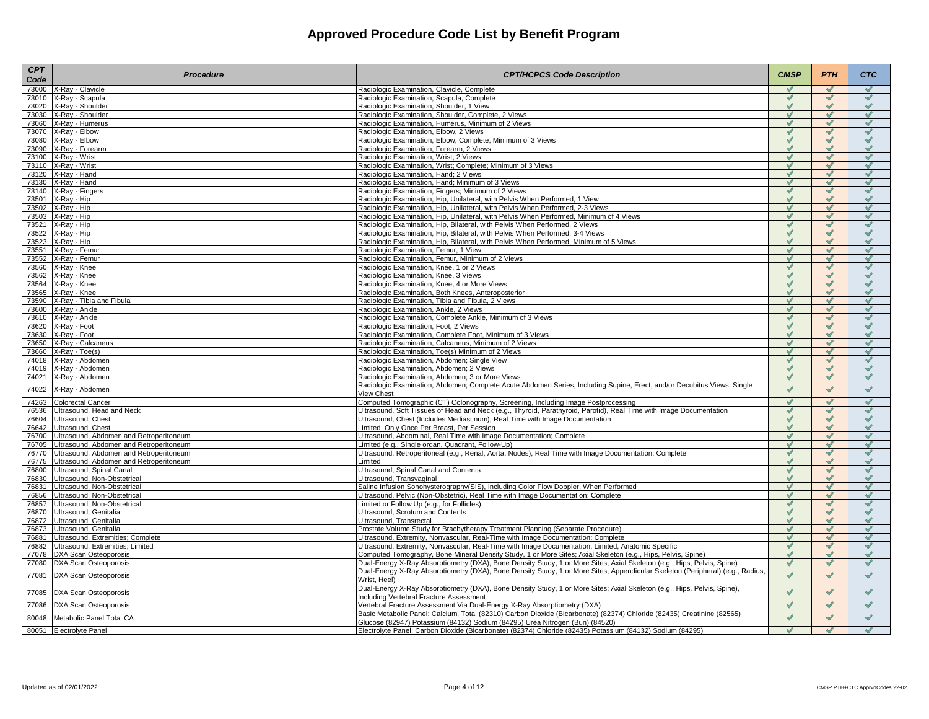| <b>CPT</b><br>Code | <b>Procedure</b>                                                                               | <b>CPT/HCPCS Code Description</b>                                                                                                                                                         | <b>CMSP</b>              | <b>PTH</b>                               | <b>CTC</b>                   |
|--------------------|------------------------------------------------------------------------------------------------|-------------------------------------------------------------------------------------------------------------------------------------------------------------------------------------------|--------------------------|------------------------------------------|------------------------------|
| 73000              | X-Ray - Clavicle                                                                               | Radiologic Examination, Clavicle, Complete                                                                                                                                                | J                        | $\checkmark$                             |                              |
| 73010              | X-Ray - Scapula                                                                                | Radiologic Examination, Scapula, Complete                                                                                                                                                 | ✔                        | $\checkmark$                             | $\checkmark$                 |
| 73020              | X-Ray - Shoulder                                                                               | Radiologic Examination, Shoulder, 1 View                                                                                                                                                  | ✔                        | $\checkmark$                             | $\checkmark$                 |
| 73030              | X-Ray - Shoulder                                                                               | Radiologic Examination, Shoulder, Complete, 2 Views                                                                                                                                       | ✔<br>$\checkmark$        | $\checkmark$<br>$\overline{\mathscr{L}}$ | ✔<br>$\checkmark$            |
| 73060              | X-Ray - Humerus                                                                                | Radiologic Examination, Humerus, Minimum of 2 Views                                                                                                                                       | ✔                        | $\checkmark$                             | $\checkmark$                 |
| 73070<br>73080     | X-Ray - Elbow<br>X-Ray - Elbow                                                                 | Radiologic Examination, Elbow, 2 Views<br>Radiologic Examination, Elbow, Complete, Minimum of 3 Views                                                                                     | M                        | $\checkmark$                             | ✔                            |
| 73090              | X-Ray - Forearm                                                                                | Radiologic Examination, Forearm, 2 Views                                                                                                                                                  | $\checkmark$             | ✔                                        | $\checkmark$                 |
|                    | 73100 X-Ray - Wrist                                                                            | Radiologic Examination, Wrist; 2 Views                                                                                                                                                    | ✔                        | $\checkmark$                             | $\checkmark$                 |
| 73110              | X-Ray - Wrist                                                                                  | Radiologic Examination, Wrist; Complete; Minimum of 3 Views                                                                                                                               | $\checkmark$             | $\checkmark$                             | $\checkmark$                 |
| 73120              | X-Ray - Hand                                                                                   | Radiologic Examination, Hand; 2 Views                                                                                                                                                     | ✔                        | $\checkmark$                             | $\checkmark$                 |
|                    | 73130 X-Ray - Hand                                                                             | Radiologic Examination, Hand; Minimum of 3 Views                                                                                                                                          | $\checkmark$             | $\checkmark$                             | $\checkmark$                 |
|                    | 73140 X-Ray - Fingers                                                                          | Radiologic Examination, Fingers; Minimum of 2 Views                                                                                                                                       | ✔                        | $\checkmark$                             | $\checkmark$                 |
| 73501              | X-Ray - Hip                                                                                    | Radiologic Examination, Hip, Unilateral, with Pelvis When Performed, 1 View                                                                                                               | ✔                        | $\mathcal{I}$                            | ✔                            |
| 73502              | X-Ray - Hip                                                                                    | Radiologic Examination, Hip, Unilateral, with Pelvis When Performed, 2-3 Views                                                                                                            | J                        | $\checkmark$                             | $\checkmark$                 |
|                    | 73503 X-Ray - Hip                                                                              | Radiologic Examination, Hip, Unilateral, with Pelvis When Performed, Minimum of 4 Views                                                                                                   | √                        | ✔                                        | ✔                            |
|                    | 73521 X-Ray - Hip                                                                              | Radiologic Examination, Hip, Bilateral, with Pelvis When Performed, 2 Views                                                                                                               | ✔                        | $\overline{\mathcal{A}}$                 | $\checkmark$                 |
|                    | 73522 X-Ray - Hip                                                                              | Radiologic Examination, Hip, Bilateral, with Pelvis When Performed, 3-4 Views                                                                                                             | ✔<br>✔                   | $\checkmark$<br>✔                        | $\checkmark$<br>$\checkmark$ |
| 73523<br>73551     | X-Ray - Hip                                                                                    | Radiologic Examination, Hip, Bilateral, with Pelvis When Performed, Minimum of 5 Views                                                                                                    | $\checkmark$             | $\checkmark$                             | $\checkmark$                 |
| 73552              | X-Ray - Femur<br>X-Ray - Femur                                                                 | Radiologic Examination, Femur, 1 View<br>Radiologic Examination, Femur, Minimum of 2 Views                                                                                                | ✔                        | $\checkmark$                             | $\checkmark$                 |
| 73560              | X-Rav - Knee                                                                                   | Radiologic Examination, Knee, 1 or 2 Views                                                                                                                                                | ✔                        | ✔                                        | $\checkmark$                 |
| 73562              | X-Ray - Knee                                                                                   | Radiologic Examination, Knee, 3 Views                                                                                                                                                     | ✔                        | $\mathcal{I}$                            | ✔                            |
| 73564              | X-Ray - Knee                                                                                   | Radiologic Examination, Knee, 4 or More Views                                                                                                                                             | J                        | $\checkmark$                             | $\checkmark$                 |
|                    | 73565 X-Ray - Knee                                                                             | Radiologic Examination, Both Knees, Anteroposterior                                                                                                                                       | J                        | $\checkmark$                             | $\checkmark$                 |
|                    | 73590 X-Ray - Tibia and Fibula                                                                 | Radiologic Examination, Tibia and Fibula, 2 Views                                                                                                                                         | ✔                        | ✔                                        | $\checkmark$                 |
|                    | 73600 X-Ray - Ankle                                                                            | Radiologic Examination, Ankle, 2 Views                                                                                                                                                    | ✔                        | $\checkmark$                             | $\checkmark$                 |
| 73610              | X-Ray - Ankle                                                                                  | Radiologic Examination, Complete Ankle, Minimum of 3 Views                                                                                                                                | ✔                        | $\checkmark$                             | $\checkmark$                 |
| 73620              | X-Ray - Foot                                                                                   | Radiologic Examination, Foot, 2 Views                                                                                                                                                     | ✔                        | $\checkmark$                             | ✔                            |
| 73630              | X-Ray - Foot                                                                                   | Radiologic Examination, Complete Foot, Minimum of 3 Views                                                                                                                                 | M                        | ✔                                        | $\checkmark$                 |
| 73650              | X-Ray - Calcaneus                                                                              | Radiologic Examination, Calcaneus, Minimum of 2 Views                                                                                                                                     | ✔                        | ✔                                        | $\checkmark$                 |
| 73660              | X-Ray - Toe(s)                                                                                 | Radiologic Examination, Toe(s) Minimum of 2 Views                                                                                                                                         | ✔                        | $\mathcal{I}$                            | $\checkmark$                 |
| 74018              | X-Ray - Abdomen                                                                                | Radiologic Examination, Abdomen; Single View                                                                                                                                              | $\overline{\mathscr{A}}$ | $\checkmark$                             | ✔                            |
|                    | 74019 X-Ray - Abdomen                                                                          | Radiologic Examination, Abdomen; 2 Views                                                                                                                                                  | ✔                        | $\checkmark$                             | ✔                            |
|                    | 74021 X-Ray - Abdomen                                                                          | Radiologic Examination, Abdomen; 3 or More Views                                                                                                                                          | ✔                        | $\checkmark$                             | $\checkmark$                 |
| 74022              | X-Ray - Abdomen                                                                                | Radiologic Examination, Abdomen; Complete Acute Abdomen Series, Including Supine, Erect, and/or Decubitus Views, Single<br>View Chest                                                     | $\checkmark$             | $\checkmark$                             | $\checkmark$                 |
| 74263              | <b>Colorectal Cancer</b>                                                                       | Computed Tomographic (CT) Colonography, Screening, Including Image Postprocessing                                                                                                         | $\checkmark$             | $\checkmark$                             | ✔                            |
| 76536              | Ultrasound, Head and Neck                                                                      | Ultrasound, Soft Tissues of Head and Neck (e.g., Thyroid, Parathyroid, Parotid), Real Time with Image Documentation                                                                       | ✔                        | ✔                                        | ✔                            |
|                    | 76604 Ultrasound, Chest                                                                        | Ultrasound, Chest (Includes Mediastinum), Real Time with Image Documentation                                                                                                              | ✔                        | $\checkmark$                             | $\checkmark$                 |
|                    | 76642 Ultrasound, Chest                                                                        | Limited, Only Once Per Breast, Per Session                                                                                                                                                | $\checkmark$             | $\checkmark$                             | $\checkmark$                 |
| 76700              | Ultrasound, Abdomen and Retroperitoneum                                                        | Ultrasound, Abdominal, Real Time with Image Documentation; Complete                                                                                                                       | ✔<br>√                   | $\checkmark$<br>$\checkmark$             | $\checkmark$<br>✔            |
| 76705              | Ultrasound, Abdomen and Retroperitoneum                                                        | Limited (e.g., Single organ, Quadrant, Follow-Up)                                                                                                                                         | ✔                        | $\checkmark$                             | $\checkmark$                 |
|                    | 76770 Ultrasound, Abdomen and Retroperitoneum<br>76775 Ultrasound, Abdomen and Retroperitoneum | Ultrasound, Retroperitoneal (e.g., Renal, Aorta, Nodes), Real Time with Image Documentation; Complete<br>Limited                                                                          | ✔                        | $\checkmark$                             | $\checkmark$                 |
| 76800              | Ultrasound, Spinal Canal                                                                       | Ultrasound, Spinal Canal and Contents                                                                                                                                                     | ✔                        | $\checkmark$                             | ✔                            |
| 76830              | Ultrasound, Non-Obstetrical                                                                    | Ultrasound, Transvaginal                                                                                                                                                                  | ✔                        | $\checkmark$                             | $\checkmark$                 |
| 76831              | Ultrasound, Non-Obstetrical                                                                    | Saline Infusion Sonohysterography(SIS), Including Color Flow Doppler, When Performed                                                                                                      | ✔                        | $\checkmark$                             | ✔                            |
| 76856              | Ultrasound, Non-Obstetrical                                                                    | Ultrasound, Pelvic (Non-Obstetric), Real Time with Image Documentation; Complete                                                                                                          | ✔                        | $\checkmark$                             | $\checkmark$                 |
| 76857              | Ultrasound, Non-Obstetrical                                                                    | Limited or Follow Up (e.g., for Follicles)                                                                                                                                                | ✔                        | $\checkmark$                             | $\checkmark$                 |
| 76870              | Ultrasound, Genitalia                                                                          | Ultrasound, Scrotum and Contents                                                                                                                                                          | ✔                        | $\checkmark$                             | $\checkmark$                 |
| 76872              | Ultrasound, Genitalia                                                                          | Ultrasound. Transrectal                                                                                                                                                                   | √                        | $\checkmark$                             | ✔                            |
|                    | 76873 Ultrasound, Genitalia                                                                    | Prostate Volume Study for Brachytherapy Treatment Planning (Separate Procedure)                                                                                                           | ✔                        | ✔                                        | $\checkmark$                 |
| 76881              | Ultrasound, Extremities; Complete                                                              | Ultrasound, Extremity, Nonvascular, Real-Time with Image Documentation; Complete                                                                                                          | ✔                        | $\overline{\mathscr{A}}$                 | $\checkmark$                 |
| 76882              | Ultrasound, Extremities; Limited                                                               | Ultrasound, Extremity, Nonvascular, Real-Time with Image Documentation; Limited, Anatomic Specific                                                                                        | ✔                        | $\checkmark$                             | ✔                            |
| 77078              | <b>DXA Scan Osteoporosis</b>                                                                   | Computed Tomography, Bone Mineral Density Study, 1 or More Sites; Axial Skeleton (e.g., Hips, Pelvis, Spine)                                                                              | ✔                        | $\checkmark$                             | $\checkmark$                 |
| 77080              | DXA Scan Osteoporosis                                                                          | Dual-Energy X-Ray Absorptiometry (DXA), Bone Density Study, 1 or More Sites; Axial Skeleton (e.g., Hips, Pelvis, Spine)                                                                   | ✔                        | $\checkmark$                             | ✔                            |
| 77081              | DXA Scan Osteoporosis                                                                          | Dual-Energy X-Ray Absorptiometry (DXA), Bone Density Study, 1 or More Sites; Appendicular Skeleton (Peripheral) (e.g., Radius,<br>Wrist, Heel)                                            | $\checkmark$             | ✔                                        | $\checkmark$                 |
| 77085              | DXA Scan Osteoporosis                                                                          | Dual-Energy X-Ray Absorptiometry (DXA), Bone Density Study, 1 or More Sites; Axial Skeleton (e.g., Hips, Pelvis, Spine),<br>Including Vertebral Fracture Assessment                       | $\checkmark$             | $\checkmark$                             | $\checkmark$                 |
| 77086              | DXA Scan Osteoporosis                                                                          | Vertebral Fracture Assessment Via Dual-Energy X-Ray Absorptiometry (DXA)                                                                                                                  | ✔                        | ✔                                        | $\checkmark$                 |
| 80048              | Metabolic Panel Total CA                                                                       | Basic Metabolic Panel: Calcium, Total (82310) Carbon Dioxide (Bicarbonate) (82374) Chloride (82435) Creatinine (82565)                                                                    | $\checkmark$             | ✔                                        | $\checkmark$                 |
|                    | 80051 Electrolyte Panel                                                                        | Glucose (82947) Potassium (84132) Sodium (84295) Urea Nitrogen (Bun) (84520)<br>Electrolyte Panel: Carbon Dioxide (Bicarbonate) (82374) Chloride (82435) Potassium (84132) Sodium (84295) | $\checkmark$             | $\checkmark$                             |                              |
|                    |                                                                                                |                                                                                                                                                                                           |                          |                                          |                              |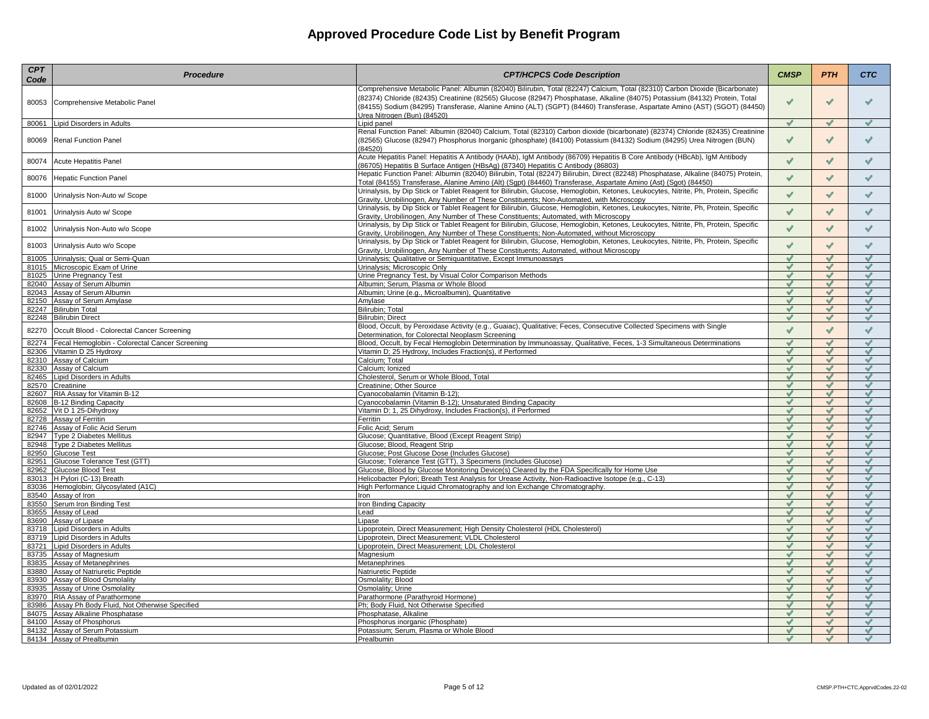| <b>CPT</b><br>Code | <b>Procedure</b>                                    | <b>CPT/HCPCS Code Description</b>                                                                                                                                                                                                                                                                                                                                                                                    | <b>CMSP</b>                   | <b>PTH</b>                               | <b>CTC</b>                   |
|--------------------|-----------------------------------------------------|----------------------------------------------------------------------------------------------------------------------------------------------------------------------------------------------------------------------------------------------------------------------------------------------------------------------------------------------------------------------------------------------------------------------|-------------------------------|------------------------------------------|------------------------------|
| 80053              | Comprehensive Metabolic Panel                       | Comprehensive Metabolic Panel: Albumin (82040) Bilirubin, Total (82247) Calcium, Total (82310) Carbon Dioxide (Bicarbonate)<br>(82374) Chloride (82435) Creatinine (82565) Glucose (82947) Phosphatase, Alkaline (84075) Potassium (84132) Protein, Total<br>(84155) Sodium (84295) Transferase, Alanine Amino (ALT) (SGPT) (84460) Transferase, Aspartate Amino (AST) (SGOT) (84450)<br>Urea Nitrogen (Bun) (84520) | ✔                             | $\checkmark$                             | $\checkmark$                 |
| 80061              | Lipid Disorders in Adults                           | Lipid panel                                                                                                                                                                                                                                                                                                                                                                                                          | $\checkmark$                  | $\checkmark$                             | ✔                            |
| 80069              | Renal Function Panel                                | Renal Function Panel: Albumin (82040) Calcium, Total (82310) Carbon dioxide (bicarbonate) (82374) Chloride (82435) Creatinine<br>(82565) Glucose (82947) Phosphorus Inorganic (phosphate) (84100) Potassium (84132) Sodium (84295) Urea Nitrogen (BUN)<br>(84520)                                                                                                                                                    | $\checkmark$                  | ✔                                        | $\checkmark$                 |
| 80074              | <b>Acute Hepatitis Panel</b>                        | Acute Hepatitis Panel: Hepatitis A Antibody (HAAb), IgM Antibody (86709) Hepatitis B Core Antibody (HBcAb), IgM Antibody<br>(86705) Hepatitis B Surface Antigen (HBsAg) (87340) Hepatitis C Antibody (86803)                                                                                                                                                                                                         | $\checkmark$                  | ✔                                        | $\checkmark$                 |
| 80076              | <b>Hepatic Function Panel</b>                       | Hepatic Function Panel: Albumin (82040) Bilirubin, Total (82247) Bilirubin, Direct (82248) Phosphatase, Alkaline (84075) Protein,<br>Total (84155) Transferase, Alanine Amino (Alt) (Sgpt) (84460) Transferase, Aspartate Amino (Ast) (Sgot) (84450)                                                                                                                                                                 | $\checkmark$                  | ৶                                        | $\checkmark$                 |
| 81000              | Urinalysis Non-Auto w/ Scope                        | Urinalysis, by Dip Stick or Tablet Reagent for Bilirubin, Glucose, Hemoglobin, Ketones, Leukocytes, Nitrite, Ph, Protein, Specific<br>Gravity, Urobilinogen, Any Number of These Constituents; Non-Automated, with Microscopy                                                                                                                                                                                        | $\checkmark$                  | $\checkmark$                             | $\checkmark$                 |
| 81001              | Urinalysis Auto w/ Scope                            | Urinalysis, by Dip Stick or Tablet Reagent for Bilirubin, Glucose, Hemoglobin, Ketones, Leukocytes, Nitrite, Ph, Protein, Specific<br>Gravity, Urobilinogen, Any Number of These Constituents; Automated, with Microscopy                                                                                                                                                                                            | J                             | $\overline{\mathscr{L}}$                 | $\mathcal{I}$                |
| 81002              | Urinalysis Non-Auto w/o Scope                       | Urinalysis, by Dip Stick or Tablet Reagent for Bilirubin, Glucose, Hemoglobin, Ketones, Leukocytes, Nitrite, Ph, Protein, Specific<br>Gravity, Urobilinogen, Any Number of These Constituents; Non-Automated, without Microscopy                                                                                                                                                                                     | $\checkmark$                  | ✔                                        | $\checkmark$                 |
| 81003              | Urinalysis Auto w/o Scope                           | Urinalysis, by Dip Stick or Tablet Reagent for Bilirubin, Glucose, Hemoglobin, Ketones, Leukocytes, Nitrite, Ph, Protein, Specific<br>Gravity, Urobilinogen, Any Number of These Constituents; Automated, without Microscopy                                                                                                                                                                                         | $\checkmark$                  |                                          | $\checkmark$                 |
| 81005              | Urinalysis; Qual or Semi-Quan                       | Urinalysis; Qualitative or Semiquantitative, Except Immunoassays                                                                                                                                                                                                                                                                                                                                                     | J                             | ہ                                        | $\checkmark$                 |
| 81015              | Microscopic Exam of Urine                           | Urinalysis; Microscopic Only                                                                                                                                                                                                                                                                                                                                                                                         | ✔                             | $\mathbf{v}$<br>$\mathscr{L}$            | $\checkmark$                 |
| 81025              | Urine Pregnancy Test                                | Urine Pregnancy Test, by Visual Color Comparison Methods                                                                                                                                                                                                                                                                                                                                                             | $\checkmark$<br>J             | ✔                                        | $\checkmark$<br>✔            |
| 82040<br>82043     | Assay of Serum Albumin<br>Assay of Serum Albumin    | Albumin; Serum, Plasma or Whole Blood<br>Albumin; Urine (e.g., Microalbumin), Quantitative                                                                                                                                                                                                                                                                                                                           | $\checkmark$                  | $\mathcal{I}$                            | $\checkmark$                 |
| 82150              | Assay of Serum Amylase                              | Amvlase                                                                                                                                                                                                                                                                                                                                                                                                              | $\checkmark$                  | $\checkmark$                             | $\checkmark$                 |
| 82247              | <b>Bilirubin Total</b>                              | Bilirubin; Total                                                                                                                                                                                                                                                                                                                                                                                                     | $\checkmark$                  | $\checkmark$                             | $\checkmark$                 |
| 82248              | <b>Bilirubin Direct</b>                             | Bilirubin; Direct                                                                                                                                                                                                                                                                                                                                                                                                    | $\checkmark$                  | ہ                                        | $\checkmark$                 |
| 82270              | Occult Blood - Colorectal Cancer Screening          | Blood, Occult, by Peroxidase Activity (e.g., Guaiac), Qualitative; Feces, Consecutive Collected Specimens with Single<br>Determination, for Colorectal Neoplasm Screening                                                                                                                                                                                                                                            | ✔                             | ✔                                        | $\checkmark$                 |
| 82274              | Fecal Hemoglobin - Colorectal Cancer Screening      | Blood, Occult, by Fecal Hemoglobin Determination by Immunoassay, Qualitative, Feces, 1-3 Simultaneous Determinations                                                                                                                                                                                                                                                                                                 | $\checkmark$                  | $\checkmark$                             | $\checkmark$                 |
|                    | 82306 Vitamin D 25 Hydroxy                          | Vitamin D; 25 Hydroxy, Includes Fraction(s), if Performed                                                                                                                                                                                                                                                                                                                                                            | ہ                             |                                          | ✔                            |
|                    | 82310 Assay of Calcium                              | Calcium; Total                                                                                                                                                                                                                                                                                                                                                                                                       | ✔                             | $\checkmark$                             | $\checkmark$                 |
|                    | 82330 Assay of Calcium                              | Calcium: Ionized                                                                                                                                                                                                                                                                                                                                                                                                     | ✔                             | $\checkmark$                             | $\checkmark$                 |
| 82465              | Lipid Disorders in Adults                           | Cholesterol, Serum or Whole Blood, Total                                                                                                                                                                                                                                                                                                                                                                             | $\mathscr{L}$<br>$\checkmark$ | $\checkmark$<br>$\overline{\mathscr{L}}$ | $\checkmark$                 |
| 82570              | Creatinine                                          | Creatinine: Other Source                                                                                                                                                                                                                                                                                                                                                                                             | ୰                             | ✔                                        | $\checkmark$<br>✔            |
| 82607              | RIA Assay for Vitamin B-12                          | Cyanocobalamin (Vitamin B-12)                                                                                                                                                                                                                                                                                                                                                                                        | $\checkmark$                  | $\checkmark$                             | $\checkmark$                 |
| 82608              | B-12 Binding Capacity<br>82652 Vit D 1 25-Dihydroxy | Cyanocobalamin (Vitamin B-12); Unsaturated Binding Capacity<br>Vitamin D; 1, 25 Dihydroxy, Includes Fraction(s), if Performed                                                                                                                                                                                                                                                                                        | ✔                             | ✔                                        | $\checkmark$                 |
| 82728              | Assay of Ferritin                                   | Ferritin                                                                                                                                                                                                                                                                                                                                                                                                             | J                             | $\checkmark$                             | ✔                            |
| 82746              | Assay of Folic Acid Serum                           | Folic Acid; Serum                                                                                                                                                                                                                                                                                                                                                                                                    | $\checkmark$                  | $\checkmark$                             | $\checkmark$                 |
|                    | 82947 Type 2 Diabetes Mellitus                      | Glucose; Quantitative, Blood (Except Reagent Strip)                                                                                                                                                                                                                                                                                                                                                                  | J                             | $\checkmark$                             | ✔                            |
|                    | 82948 Type 2 Diabetes Mellitus                      | Glucose; Blood, Reagent Strip                                                                                                                                                                                                                                                                                                                                                                                        |                               | $\overline{\mathcal{A}}$                 | ✔                            |
|                    | 82950 Glucose Test                                  | Glucose; Post Glucose Dose (Includes Glucose)                                                                                                                                                                                                                                                                                                                                                                        | ✔                             | $\checkmark$                             | $\checkmark$                 |
| 82951              | Glucose Tolerance Test (GTT)                        | Glucose; Tolerance Test (GTT), 3 Specimens (Includes Glucose)                                                                                                                                                                                                                                                                                                                                                        | $\checkmark$                  | $\checkmark$                             | $\checkmark$                 |
| 82962              | Glucose Blood Test                                  | Glucose, Blood by Glucose Monitoring Device(s) Cleared by the FDA Specifically for Home Use                                                                                                                                                                                                                                                                                                                          | $\checkmark$                  | $\checkmark$                             | $\checkmark$                 |
| 83013              | H Pylori (C-13) Breath                              | Helicobacter Pylori; Breath Test Analysis for Urease Activity, Non-Radioactive Isotope (e.g., C-13)                                                                                                                                                                                                                                                                                                                  | $\checkmark$                  | $\checkmark$                             | ✔                            |
| 83036              | Hemoglobin; Glycosylated (A1C)                      | High Performance Liquid Chromatography and Ion Exchange Chromatography.                                                                                                                                                                                                                                                                                                                                              | $\checkmark$                  | ✔                                        | ✔                            |
|                    | 83540 Assay of Iron                                 | Iron                                                                                                                                                                                                                                                                                                                                                                                                                 | $\checkmark$                  | $\checkmark$                             | $\checkmark$                 |
| 83550              | Serum Iron Binding Test                             | Iron Binding Capacity                                                                                                                                                                                                                                                                                                                                                                                                | ✔                             | $\checkmark$                             | $\checkmark$                 |
| 83655              | Assay of Lead                                       | Lead                                                                                                                                                                                                                                                                                                                                                                                                                 | J                             | $\overline{\mathscr{A}}$                 | $\checkmark$                 |
|                    | 83690 Assay of Lipase                               | Lipase                                                                                                                                                                                                                                                                                                                                                                                                               | ✔                             | $\checkmark$                             | $\checkmark$                 |
|                    | 83718 Lipid Disorders in Adults                     | Lipoprotein, Direct Measurement; High Density Cholesterol (HDL Cholesterol)                                                                                                                                                                                                                                                                                                                                          | ✔                             | $\checkmark$                             | ✔                            |
|                    | 83719 Lipid Disorders in Adults                     | Lipoprotein, Direct Measurement; VLDL Cholesterol                                                                                                                                                                                                                                                                                                                                                                    | J                             | ✔                                        | $\checkmark$                 |
|                    | 83721 Lipid Disorders in Adults                     | Lipoprotein, Direct Measurement; LDL Cholesterol                                                                                                                                                                                                                                                                                                                                                                     | ✔                             | $\checkmark$<br>$\checkmark$             | $\checkmark$<br>$\checkmark$ |
| 83735              | Assay of Magnesium<br>83835 Assay of Metanephrines  | Magnesium                                                                                                                                                                                                                                                                                                                                                                                                            | ✔                             | $\checkmark$                             | $\checkmark$                 |
|                    | 83880 Assay of Natriuretic Peptide                  | Metanephrines<br>Natriuretic Peptide                                                                                                                                                                                                                                                                                                                                                                                 | $\checkmark$                  | $\checkmark$                             | $\checkmark$                 |
|                    | 83930 Assay of Blood Osmolality                     | Osmolality; Blood                                                                                                                                                                                                                                                                                                                                                                                                    | J                             | $\checkmark$                             | $\checkmark$                 |
|                    | 83935 Assay of Urine Osmolality                     | Osmolality; Urine                                                                                                                                                                                                                                                                                                                                                                                                    | ✔                             | $\checkmark$                             | $\checkmark$                 |
|                    | 83970 RIA Assay of Parathormone                     | Parathormone (Parathyroid Hormone)                                                                                                                                                                                                                                                                                                                                                                                   | ✔                             | $\checkmark$                             | $\checkmark$                 |
| 83986              | Assay Ph Body Fluid, Not Otherwise Specified        | Ph; Body Fluid, Not Otherwise Specified                                                                                                                                                                                                                                                                                                                                                                              | ✔                             | $\checkmark$                             | $\checkmark$                 |
| 84075              | Assay Alkaline Phosphatase                          | Phosphatase, Alkaline                                                                                                                                                                                                                                                                                                                                                                                                | ✔                             | $\checkmark$                             | $\checkmark$                 |
|                    | 84100 Assay of Phosphorus                           | Phosphorus inorganic (Phosphate)                                                                                                                                                                                                                                                                                                                                                                                     | J                             | $\checkmark$                             | $\checkmark$                 |
|                    | 84132 Assay of Serum Potassium                      | Potassium; Serum, Plasma or Whole Blood                                                                                                                                                                                                                                                                                                                                                                              |                               | $\checkmark$                             | $\checkmark$                 |
|                    | 84134 Assay of Prealbumin                           | Prealbumin                                                                                                                                                                                                                                                                                                                                                                                                           | ✔                             | $\checkmark$                             | $\checkmark$                 |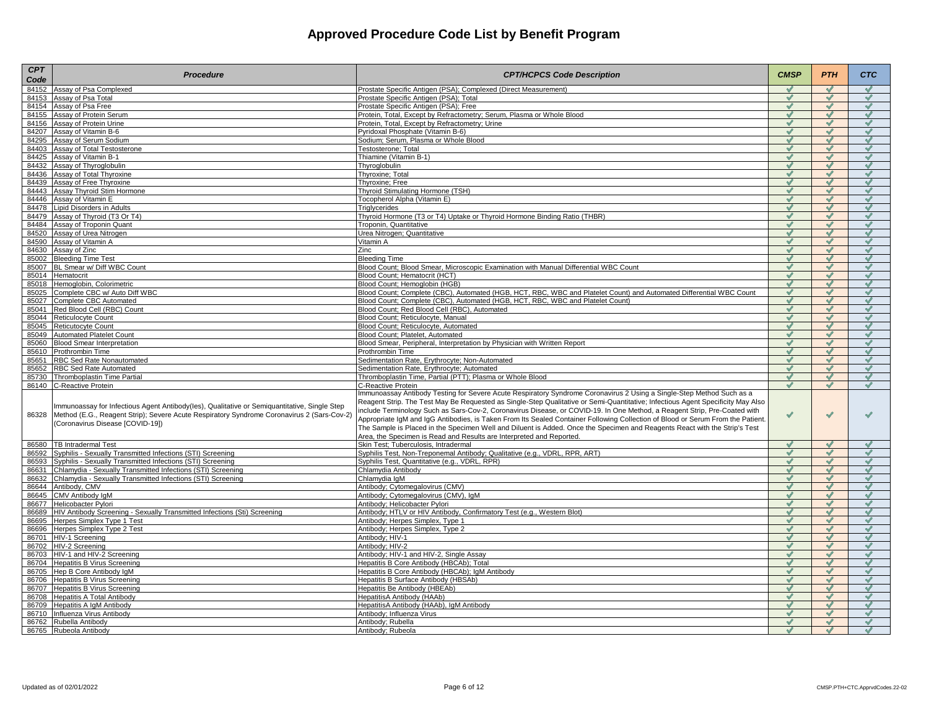| <b>CPT</b><br>Code | <b>Procedure</b>                                                                                                                                                                                                              | <b>CPT/HCPCS Code Description</b>                                                                                                                                                                                                                                                                                                                                                                                                                                                                                                                                                                                                                                                                                              | <b>CMSP</b>                  | <b>PTH</b>                   | <b>CTC</b>                   |
|--------------------|-------------------------------------------------------------------------------------------------------------------------------------------------------------------------------------------------------------------------------|--------------------------------------------------------------------------------------------------------------------------------------------------------------------------------------------------------------------------------------------------------------------------------------------------------------------------------------------------------------------------------------------------------------------------------------------------------------------------------------------------------------------------------------------------------------------------------------------------------------------------------------------------------------------------------------------------------------------------------|------------------------------|------------------------------|------------------------------|
| 84152              | Assay of Psa Complexed                                                                                                                                                                                                        | Prostate Specific Antigen (PSA); Complexed (Direct Measurement)                                                                                                                                                                                                                                                                                                                                                                                                                                                                                                                                                                                                                                                                | $\checkmark$                 | $\mathscr{A}$                | $\mathscr{M}$                |
| 84153              | Assay of Psa Total                                                                                                                                                                                                            | Prostate Specific Antigen (PSA); Total                                                                                                                                                                                                                                                                                                                                                                                                                                                                                                                                                                                                                                                                                         | $\checkmark$                 | $\checkmark$                 | $\checkmark$                 |
| 84154              | Assay of Psa Free                                                                                                                                                                                                             | Prostate Specific Antigen (PSA); Free                                                                                                                                                                                                                                                                                                                                                                                                                                                                                                                                                                                                                                                                                          | ✔                            | $\overline{\mathcal{A}}$     | ✔                            |
| 84155              | Assay of Protein Serum                                                                                                                                                                                                        | Protein, Total, Except by Refractometry; Serum, Plasma or Whole Blood                                                                                                                                                                                                                                                                                                                                                                                                                                                                                                                                                                                                                                                          | ✔                            | $\checkmark$                 | ✔                            |
| 84156<br>84207     | Assay of Protein Urine<br>Assay of Vitamin B-6                                                                                                                                                                                | Protein, Total, Except by Refractometry; Urine<br>Pyridoxal Phosphate (Vitamin B-6)                                                                                                                                                                                                                                                                                                                                                                                                                                                                                                                                                                                                                                            | $\checkmark$<br>৶            | $\checkmark$<br>$\checkmark$ | $\checkmark$<br>$\checkmark$ |
| 84295              | Assay of Serum Sodium                                                                                                                                                                                                         | Sodium; Serum, Plasma or Whole Blood                                                                                                                                                                                                                                                                                                                                                                                                                                                                                                                                                                                                                                                                                           | $\checkmark$                 | $\checkmark$                 | $\checkmark$                 |
| 84403              | Assay of Total Testosterone                                                                                                                                                                                                   | Testosterone: Total                                                                                                                                                                                                                                                                                                                                                                                                                                                                                                                                                                                                                                                                                                            | $\checkmark$                 | $\checkmark$                 | $\checkmark$                 |
| 84425              | Assay of Vitamin B-1                                                                                                                                                                                                          | Thiamine (Vitamin B-1)                                                                                                                                                                                                                                                                                                                                                                                                                                                                                                                                                                                                                                                                                                         | ✔                            | ✔                            | $\checkmark$                 |
| 84432              | Assay of Thyroglobulin                                                                                                                                                                                                        | Thyroglobulin                                                                                                                                                                                                                                                                                                                                                                                                                                                                                                                                                                                                                                                                                                                  | $\checkmark$                 | $\checkmark$                 | $\checkmark$                 |
| 84436              | Assay of Total Thyroxine                                                                                                                                                                                                      | Thyroxine; Total                                                                                                                                                                                                                                                                                                                                                                                                                                                                                                                                                                                                                                                                                                               | ✔                            | $\checkmark$                 | $\checkmark$                 |
| 84439              | Assay of Free Thyroxine                                                                                                                                                                                                       | Thyroxine; Free                                                                                                                                                                                                                                                                                                                                                                                                                                                                                                                                                                                                                                                                                                                | $\checkmark$                 | $\checkmark$                 | $\checkmark$                 |
| 84443              | Assay Thyroid Stim Hormone                                                                                                                                                                                                    | Thyroid Stimulating Hormone (TSH)                                                                                                                                                                                                                                                                                                                                                                                                                                                                                                                                                                                                                                                                                              | ✔                            | ✔                            | $\checkmark$                 |
| 84446              | Assay of Vitamin E                                                                                                                                                                                                            | Tocopherol Alpha (Vitamin E)                                                                                                                                                                                                                                                                                                                                                                                                                                                                                                                                                                                                                                                                                                   | ✔                            | $\checkmark$                 | ✔                            |
| 84478              | Lipid Disorders in Adults                                                                                                                                                                                                     | Triglycerides                                                                                                                                                                                                                                                                                                                                                                                                                                                                                                                                                                                                                                                                                                                  | $\checkmark$                 | $\checkmark$                 | $\checkmark$                 |
| 84479              | Assay of Thyroid (T3 Or T4)                                                                                                                                                                                                   | Thyroid Hormone (T3 or T4) Uptake or Thyroid Hormone Binding Ratio (THBR)                                                                                                                                                                                                                                                                                                                                                                                                                                                                                                                                                                                                                                                      | ✔                            | $\checkmark$                 | $\checkmark$                 |
| 84484              | Assay of Troponin Quant                                                                                                                                                                                                       | Troponin, Quantitative                                                                                                                                                                                                                                                                                                                                                                                                                                                                                                                                                                                                                                                                                                         | ✔                            | $\checkmark$                 | $\checkmark$                 |
| 84520              | Assav of Urea Nitrogen                                                                                                                                                                                                        | Urea Nitrogen: Quantitative                                                                                                                                                                                                                                                                                                                                                                                                                                                                                                                                                                                                                                                                                                    | ✔<br>✔                       | $\checkmark$<br>$\checkmark$ | ✔<br>✔                       |
| 84590<br>84630     | Assay of Vitamin A<br>Assay of Zinc                                                                                                                                                                                           | Vitamin A<br>Zinc                                                                                                                                                                                                                                                                                                                                                                                                                                                                                                                                                                                                                                                                                                              | $\checkmark$                 | $\checkmark$                 | $\checkmark$                 |
| 85002              | <b>Bleeding Time Test</b>                                                                                                                                                                                                     | <b>Bleeding Time</b>                                                                                                                                                                                                                                                                                                                                                                                                                                                                                                                                                                                                                                                                                                           | $\checkmark$                 | ✔                            | ✔                            |
| 85007              | BL Smear w/ Diff WBC Count                                                                                                                                                                                                    | Blood Count: Blood Smear, Microscopic Examination with Manual Differential WBC Count                                                                                                                                                                                                                                                                                                                                                                                                                                                                                                                                                                                                                                           | $\checkmark$                 | $\checkmark$                 | ✔                            |
| 85014              | Hematocrit                                                                                                                                                                                                                    | Blood Count; Hematocrit (HCT)                                                                                                                                                                                                                                                                                                                                                                                                                                                                                                                                                                                                                                                                                                  | ✔                            | $\checkmark$                 | $\checkmark$                 |
| 85018              | Hemoglobin, Colorimetric                                                                                                                                                                                                      | Blood Count; Hemoglobin (HGB)                                                                                                                                                                                                                                                                                                                                                                                                                                                                                                                                                                                                                                                                                                  | $\checkmark$                 | ✔                            | ✔                            |
| 85025              | Complete CBC w/ Auto Diff WBC                                                                                                                                                                                                 | Blood Count; Complete (CBC), Automated (HGB, HCT, RBC, WBC and Platelet Count) and Automated Differential WBC Count                                                                                                                                                                                                                                                                                                                                                                                                                                                                                                                                                                                                            | $\checkmark$                 | $\checkmark$                 | $\checkmark$                 |
| 85027              | Complete CBC Automated                                                                                                                                                                                                        | Blood Count; Complete (CBC), Automated (HGB, HCT, RBC, WBC and Platelet Count)                                                                                                                                                                                                                                                                                                                                                                                                                                                                                                                                                                                                                                                 | ✔                            | $\checkmark$                 | ✔                            |
| 85041              | Red Blood Cell (RBC) Count                                                                                                                                                                                                    | Blood Count; Red Blood Cell (RBC), Automated                                                                                                                                                                                                                                                                                                                                                                                                                                                                                                                                                                                                                                                                                   | $\checkmark$                 | $\checkmark$                 | √                            |
| 85044              | Reticulocyte Count                                                                                                                                                                                                            | Blood Count; Reticulocyte, Manual                                                                                                                                                                                                                                                                                                                                                                                                                                                                                                                                                                                                                                                                                              | ✔                            | $\checkmark$                 | ✔                            |
| 85045              | Reticutocyte Count                                                                                                                                                                                                            | Blood Count; Reticulocyte, Automated                                                                                                                                                                                                                                                                                                                                                                                                                                                                                                                                                                                                                                                                                           | $\blacktriangledown$         | ✔                            | ✔                            |
| 85049              | <b>Automated Platelet Count</b>                                                                                                                                                                                               | Blood Count: Platelet, Automated                                                                                                                                                                                                                                                                                                                                                                                                                                                                                                                                                                                                                                                                                               | $\checkmark$                 | $\checkmark$                 | $\checkmark$                 |
| 85060              | <b>Blood Smear Interpretation</b>                                                                                                                                                                                             | Blood Smear, Peripheral, Interpretation by Physician with Written Report                                                                                                                                                                                                                                                                                                                                                                                                                                                                                                                                                                                                                                                       | $\checkmark$                 | $\checkmark$                 | $\checkmark$                 |
| 85610              | Prothrombin Time                                                                                                                                                                                                              | Prothrombin Time                                                                                                                                                                                                                                                                                                                                                                                                                                                                                                                                                                                                                                                                                                               | ✔<br>✔                       | $\checkmark$<br>$\checkmark$ | ✔<br>$\checkmark$            |
| 85651<br>85652     | RBC Sed Rate Nonautomated<br><b>RBC Sed Rate Automated</b>                                                                                                                                                                    | Sedimentation Rate, Erythrocyte; Non-Automated<br>Sedimentation Rate. Ervthrocyte: Automated                                                                                                                                                                                                                                                                                                                                                                                                                                                                                                                                                                                                                                   | ✔                            | ✔                            | $\checkmark$                 |
| 85730              | Thromboplastin Time Partial                                                                                                                                                                                                   | Thromboplastin Time, Partial (PTT); Plasma or Whole Blood                                                                                                                                                                                                                                                                                                                                                                                                                                                                                                                                                                                                                                                                      | ✔                            | ✔                            | $\checkmark$                 |
|                    | 86140 C-Reactive Protein                                                                                                                                                                                                      | C-Reactive Protein                                                                                                                                                                                                                                                                                                                                                                                                                                                                                                                                                                                                                                                                                                             | J                            | $\checkmark$                 | $\checkmark$                 |
| 86328              | mmunoassay for Infectious Agent Antibody(les), Qualitative or Semiguantitative, Single Step<br>Method (E.G., Reagent Strip); Severe Acute Respiratory Syndrome Coronavirus 2 (Sars-Cov-2)<br>(Coronavirus Disease [COVID-19]) | Immunoassay Antibody Testing for Severe Acute Respiratory Syndrome Coronavirus 2 Using a Single-Step Method Such as a<br>Reagent Strip. The Test May Be Requested as Single-Step Qualitative or Semi-Quantitative; Infectious Agent Specificity May Also<br>include Terminology Such as Sars-Cov-2, Coronavirus Disease, or COVID-19. In One Method, a Reagent Strip, Pre-Coated with<br>Appropriate IgM and IgG Antibodies, is Taken From Its Sealed Container Following Collection of Blood or Serum From the Patient.<br>The Sample is Placed in the Specimen Well and Diluent is Added. Once the Specimen and Reagents React with the Strip's Test<br>Area, the Specimen is Read and Results are Interpreted and Reported. | $\checkmark$                 | $\checkmark$                 | ✔                            |
| 86580              | <b>TB Intradermal Test</b>                                                                                                                                                                                                    | Skin Test; Tuberculosis, Intradermal                                                                                                                                                                                                                                                                                                                                                                                                                                                                                                                                                                                                                                                                                           | $\checkmark$                 | $\checkmark$                 |                              |
| 86592              | Syphilis - Sexually Transmitted Infections (STI) Screening                                                                                                                                                                    | Syphilis Test, Non-Treponemal Antibody; Qualitative (e.g., VDRL, RPR, ART)                                                                                                                                                                                                                                                                                                                                                                                                                                                                                                                                                                                                                                                     | $\checkmark$                 | $\mathcal{L}$                | $\checkmark$                 |
| 86593<br>86631     | Syphilis - Sexually Transmitted Infections (STI) Screening                                                                                                                                                                    | Syphilis Test, Quantitative (e.g., VDRL, RPR)                                                                                                                                                                                                                                                                                                                                                                                                                                                                                                                                                                                                                                                                                  | $\checkmark$<br>$\checkmark$ | $\checkmark$<br>$\checkmark$ | $\checkmark$<br>$\checkmark$ |
| 86632              | Chlamydia - Sexually Transmitted Infections (STI) Screening<br>Chlamydia - Sexually Transmitted Infections (STI) Screening                                                                                                    | Chlamydia Antibody<br>Chlamydia IqM                                                                                                                                                                                                                                                                                                                                                                                                                                                                                                                                                                                                                                                                                            | $\checkmark$                 |                              | $\checkmark$                 |
| 86644              | Antibody, CMV                                                                                                                                                                                                                 | Antibody; Cytomegalovirus (CMV)                                                                                                                                                                                                                                                                                                                                                                                                                                                                                                                                                                                                                                                                                                | $\checkmark$                 | $\checkmark$                 | $\checkmark$                 |
| 86645              | CMV Antibody IqM                                                                                                                                                                                                              | Antibody; Cytomegalovirus (CMV), IgM                                                                                                                                                                                                                                                                                                                                                                                                                                                                                                                                                                                                                                                                                           | $\checkmark$                 | ✔                            | $\checkmark$                 |
| 86677              | Helicobacter Pvlori                                                                                                                                                                                                           | Antibody; Helicobacter Pylori                                                                                                                                                                                                                                                                                                                                                                                                                                                                                                                                                                                                                                                                                                  | $\checkmark$                 | $\checkmark$                 | $\checkmark$                 |
| 86689              | HIV Antibody Screening - Sexually Transmitted Infections (Sti) Screening                                                                                                                                                      | Antibody; HTLV or HIV Antibody, Confirmatory Test (e.g., Western Blot)                                                                                                                                                                                                                                                                                                                                                                                                                                                                                                                                                                                                                                                         | ✔                            | $\checkmark$                 | $\checkmark$                 |
| 86695              | Herpes Simplex Type 1 Test                                                                                                                                                                                                    | Antibody; Herpes Simplex, Type 1                                                                                                                                                                                                                                                                                                                                                                                                                                                                                                                                                                                                                                                                                               | ✔                            | $\checkmark$                 | ✔                            |
| 86696              | Herpes Simplex Type 2 Test                                                                                                                                                                                                    | Antibody; Herpes Simplex, Type 2                                                                                                                                                                                                                                                                                                                                                                                                                                                                                                                                                                                                                                                                                               | $\checkmark$                 | ✔                            | $\checkmark$                 |
| 86701              | HIV-1 Screening                                                                                                                                                                                                               | Antibody; HIV-1                                                                                                                                                                                                                                                                                                                                                                                                                                                                                                                                                                                                                                                                                                                | ৶                            | $\checkmark$                 | ✔                            |
| 86702              | HIV-2 Screening                                                                                                                                                                                                               | Antibody; HIV-2                                                                                                                                                                                                                                                                                                                                                                                                                                                                                                                                                                                                                                                                                                                | ✔                            | $\checkmark$                 | $\checkmark$                 |
| 86703              | HIV-1 and HIV-2 Screening                                                                                                                                                                                                     | Antibody; HIV-1 and HIV-2, Single Assay                                                                                                                                                                                                                                                                                                                                                                                                                                                                                                                                                                                                                                                                                        | ✔                            | ✔                            | ✔                            |
| 86704              | <b>Hepatitis B Virus Screening</b>                                                                                                                                                                                            | Hepatitis B Core Antibody (HBCAb); Total                                                                                                                                                                                                                                                                                                                                                                                                                                                                                                                                                                                                                                                                                       | $\checkmark$                 | ✔                            | $\checkmark$                 |
| 86705              | Hep B Core Antibody IgM                                                                                                                                                                                                       | Hepatitis B Core Antibody (HBCAb); IgM Antibody                                                                                                                                                                                                                                                                                                                                                                                                                                                                                                                                                                                                                                                                                | $\checkmark$                 | ✔                            | √                            |
| 86706              | <b>Hepatitis B Virus Screening</b>                                                                                                                                                                                            | Hepatitis B Surface Antibody (HBSAb)                                                                                                                                                                                                                                                                                                                                                                                                                                                                                                                                                                                                                                                                                           | $\checkmark$<br>$\checkmark$ | $\checkmark$<br>$\checkmark$ | $\checkmark$<br>$\checkmark$ |
| 86707              | <b>Hepatitis B Virus Screening</b>                                                                                                                                                                                            | Hepatitis Be Antibody (HBEAb)                                                                                                                                                                                                                                                                                                                                                                                                                                                                                                                                                                                                                                                                                                  | ✔                            | $\checkmark$                 | $\checkmark$                 |
| 86708<br>86709     | <b>Hepatitis A Total Antibody</b><br><b>Hepatitis A IgM Antibody</b>                                                                                                                                                          | HepatitisA Antibody (HAAb)<br>HepatitisA Antibody (HAAb), IqM Antibody                                                                                                                                                                                                                                                                                                                                                                                                                                                                                                                                                                                                                                                         | ✔                            | $\checkmark$                 | $\checkmark$                 |
| 86710              | Influenza Virus Antibody                                                                                                                                                                                                      | Antibody; Influenza Virus                                                                                                                                                                                                                                                                                                                                                                                                                                                                                                                                                                                                                                                                                                      | √                            | ✔                            | $\checkmark$                 |
| 86762              | Rubella Antibody                                                                                                                                                                                                              | Antibody; Rubella                                                                                                                                                                                                                                                                                                                                                                                                                                                                                                                                                                                                                                                                                                              | $\sqrt{}$                    | $\checkmark$                 | $\checkmark$                 |
|                    | 86765 Rubeola Antibody                                                                                                                                                                                                        | Antibody; Rubeola                                                                                                                                                                                                                                                                                                                                                                                                                                                                                                                                                                                                                                                                                                              | $\checkmark$                 | $\checkmark$                 | $\checkmark$                 |
|                    |                                                                                                                                                                                                                               |                                                                                                                                                                                                                                                                                                                                                                                                                                                                                                                                                                                                                                                                                                                                |                              |                              |                              |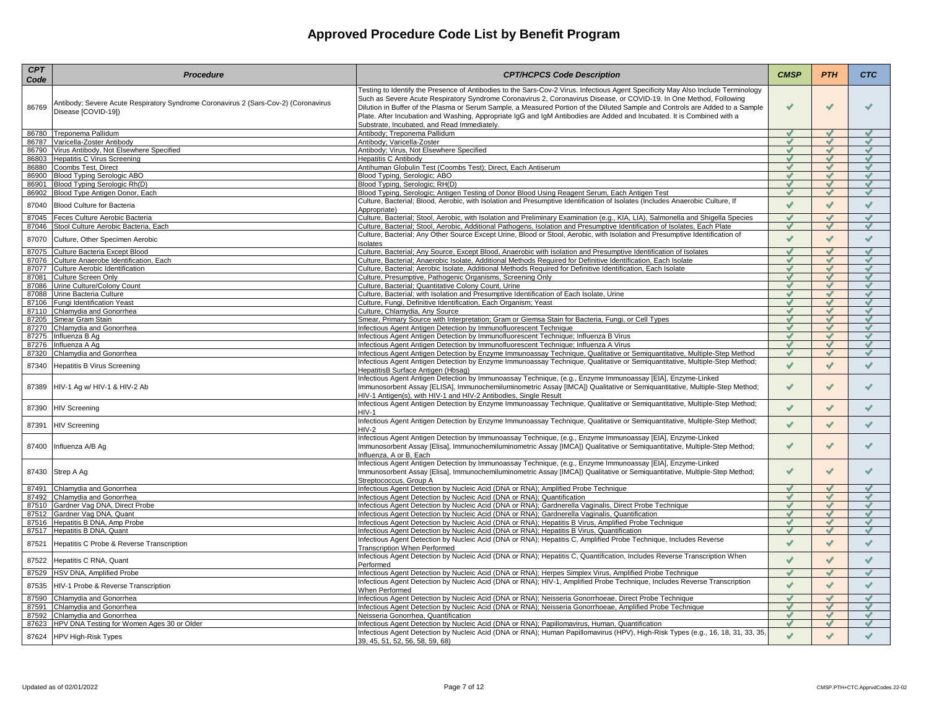| <b>CPT</b><br>Code | <b>Procedure</b>                                                                                           | <b>CPT/HCPCS Code Description</b>                                                                                                                                                                                                                                                                                                                                                                                                                                                                                                                                  | <b>CMSP</b>                  | <b>PTH</b>               | <b>CTC</b>                   |
|--------------------|------------------------------------------------------------------------------------------------------------|--------------------------------------------------------------------------------------------------------------------------------------------------------------------------------------------------------------------------------------------------------------------------------------------------------------------------------------------------------------------------------------------------------------------------------------------------------------------------------------------------------------------------------------------------------------------|------------------------------|--------------------------|------------------------------|
| 86769              | Antibody; Severe Acute Respiratory Syndrome Coronavirus 2 (Sars-Cov-2) (Coronavirus<br>Disease [COVID-19]) | Testing to Identify the Presence of Antibodies to the Sars-Cov-2 Virus. Infectious Agent Specificity May Also Include Terminology<br>Such as Severe Acute Respiratory Syndrome Coronavirus 2, Coronavirus Disease, or COVID-19. In One Method, Following<br>Dilution in Buffer of the Plasma or Serum Sample, a Measured Portion of the Diluted Sample and Controls are Added to a Sample<br>Plate. After Incubation and Washing, Appropriate IgG and IgM Antibodies are Added and Incubated. It is Combined with a<br>Substrate, Incubated, and Read Immediately. | ✔                            | $\overline{\mathcal{A}}$ |                              |
| 86780              | Treponema Pallidum                                                                                         | Antibody; Treponema Pallidum                                                                                                                                                                                                                                                                                                                                                                                                                                                                                                                                       | $\checkmark$                 | $\checkmark$             | ✔                            |
| 86787              | Varicella-Zoster Antibody                                                                                  | Antibody; Varicella-Zoster                                                                                                                                                                                                                                                                                                                                                                                                                                                                                                                                         | $\checkmark$                 | ✔                        | $\checkmark$                 |
| 86790              | Virus Antibody, Not Elsewhere Specified                                                                    | Antibody; Virus, Not Elsewhere Specified                                                                                                                                                                                                                                                                                                                                                                                                                                                                                                                           | $\checkmark$                 | $\checkmark$             | $\checkmark$                 |
| 86803              | Hepatitis C Virus Screening                                                                                | <b>Hepatitis C Antibody</b>                                                                                                                                                                                                                                                                                                                                                                                                                                                                                                                                        | ✔                            | $\checkmark$             | ✔                            |
| 86880              | Coombs Test, Direct                                                                                        | Antihuman Globulin Test (Coombs Test); Direct, Each Antiserum                                                                                                                                                                                                                                                                                                                                                                                                                                                                                                      | ✔                            | $\checkmark$             | $\checkmark$                 |
| 86900              | <b>Blood Typing Serologic ABO</b>                                                                          | Blood Typing, Serologic; ABO                                                                                                                                                                                                                                                                                                                                                                                                                                                                                                                                       | $\checkmark$                 | $\checkmark$             | $\checkmark$                 |
| 86901              | Blood Typing Serologic Rh(D)                                                                               | Blood Typing, Serologic; RH(D)                                                                                                                                                                                                                                                                                                                                                                                                                                                                                                                                     | $\checkmark$                 | ✔<br>$\checkmark$        | $\checkmark$                 |
| 86902              | Blood Type Antigen Donor, Each                                                                             | Blood Typing, Serologic; Antigen Testing of Donor Blood Using Reagent Serum, Each Antigen Test<br>Culture, Bacterial; Blood, Aerobic, with Isolation and Presumptive Identification of Isolates (Includes Anaerobic Culture, If                                                                                                                                                                                                                                                                                                                                    | $\blacktriangledown$         |                          | $\blacktriangledown$         |
| 87040              | <b>Blood Culture for Bacteria</b>                                                                          | Appropriate)                                                                                                                                                                                                                                                                                                                                                                                                                                                                                                                                                       | V                            | $\checkmark$             | $\checkmark$                 |
| 87045              | Feces Culture Aerobic Bacteria                                                                             | Culture, Bacterial; Stool, Aerobic, with Isolation and Preliminary Examination (e.g., KIA, LIA), Salmonella and Shigella Species                                                                                                                                                                                                                                                                                                                                                                                                                                   | $\checkmark$                 | $\checkmark$             | $\checkmark$                 |
| 87046              | Stool Culture Aerobic Bacteria, Each                                                                       | Culture, Bacterial; Stool, Aerobic, Additional Pathogens, Isolation and Presumptive Identification of Isolates, Each Plate                                                                                                                                                                                                                                                                                                                                                                                                                                         | $\checkmark$                 | $\checkmark$             | ✔                            |
| 87070              | Culture, Other Specimen Aerobic                                                                            | Culture, Bacterial; Any Other Source Except Urine, Blood or Stool, Aerobic, with Isolation and Presumptive Identification of<br>solates                                                                                                                                                                                                                                                                                                                                                                                                                            | ✔                            | $\checkmark$             | $\checkmark$                 |
| 87075              | Culture Bacteria Except Blood                                                                              | Culture, Bacterial; Any Source, Except Blood, Anaerobic with Isolation and Presumptive Identification of Isolates                                                                                                                                                                                                                                                                                                                                                                                                                                                  | ✔                            | $\checkmark$             | ✔                            |
| 87076              | Culture Anaerobe Identification, Each                                                                      | Culture, Bacterial; Anaerobic Isolate, Additional Methods Required for Definitive Identification, Each Isolate                                                                                                                                                                                                                                                                                                                                                                                                                                                     | ✔                            | ✔                        | ✔                            |
| 87077              | Culture Aerobic Identification                                                                             | Culture, Bacterial; Aerobic Isolate, Additional Methods Required for Definitive Identification, Each Isolate                                                                                                                                                                                                                                                                                                                                                                                                                                                       | $\checkmark$                 | $\checkmark$             | $\checkmark$                 |
| 87081              | Culture Screen Only                                                                                        | Culture, Presumptive, Pathogenic Organisms, Screening Only                                                                                                                                                                                                                                                                                                                                                                                                                                                                                                         | J                            | $\mathscr I$             | ✔                            |
| 87086              | Urine Culture/Colony Count                                                                                 | Culture, Bacterial; Quantitative Colony Count, Urine                                                                                                                                                                                                                                                                                                                                                                                                                                                                                                               | $\checkmark$                 | $\checkmark$             | ✔                            |
| 87088              | Urine Bacteria Culture                                                                                     | Culture, Bacterial; with Isolation and Presumptive Identification of Each Isolate, Urine                                                                                                                                                                                                                                                                                                                                                                                                                                                                           | $\checkmark$                 | $\checkmark$             | $\checkmark$                 |
| 87106              | Fungi Identification Yeast                                                                                 | Culture, Fungi, Definitive Identification, Each Organism; Yeast                                                                                                                                                                                                                                                                                                                                                                                                                                                                                                    | $\checkmark$                 | $\checkmark$             | $\checkmark$                 |
| 87110              | Chlamydia and Gonorrhea                                                                                    | Culture, Chlamydia, Any Source                                                                                                                                                                                                                                                                                                                                                                                                                                                                                                                                     | $\checkmark$<br>$\checkmark$ | $\checkmark$<br>J        | $\checkmark$<br>$\checkmark$ |
| 87205<br>87270     | Smear Gram Stain<br>Chlamydia and Gonorrhea                                                                | Smear, Primary Source with Interpretation; Gram or Giemsa Stain for Bacteria, Fungi, or Cell Types<br>Infectious Agent Antigen Detection by Immunofluorescent Technique                                                                                                                                                                                                                                                                                                                                                                                            | ہ                            | ✔                        | ✔                            |
| 87275              | Influenza B Aq                                                                                             | Infectious Agent Antigen Detection by Immunofluorescent Technique; Influenza B Virus                                                                                                                                                                                                                                                                                                                                                                                                                                                                               | $\checkmark$                 | $\checkmark$             | $\checkmark$                 |
| 87276              | Influenza A Ag                                                                                             | Infectious Agent Antigen Detection by Immunofluorescent Technique; Influenza A Virus                                                                                                                                                                                                                                                                                                                                                                                                                                                                               | ✔                            | $\checkmark$             | $\checkmark$                 |
| 87320              | Chlamydia and Gonorrhea                                                                                    | Infectious Agent Antigen Detection by Enzyme Immunoassay Technique, Qualitative or Semiquantitative, Multiple-Step Method                                                                                                                                                                                                                                                                                                                                                                                                                                          | $\checkmark$                 | $\checkmark$             | $\checkmark$                 |
| 87340              | Hepatitis B Virus Screening                                                                                | Infectious Agent Antigen Detection by Enzyme Immunoassay Technique, Qualitative or Semiquantitative, Multiple-Step Method;<br>HepatitisB Surface Antigen (Hbsag)                                                                                                                                                                                                                                                                                                                                                                                                   | V                            | $\checkmark$             | $\checkmark$                 |
| 87389              | HIV-1 Ag w/ HIV-1 & HIV-2 Ab                                                                               | Infectious Agent Antigen Detection by Immunoassay Technique, (e.g., Enzyme Immunoassay [EIA], Enzyme-Linked<br>Immunosorbent Assay [ELISA], Immunochemiluminometric Assay [IMCA]) Qualitative or Semiquantitative, Multiple-Step Method;<br>HIV-1 Antigen(s), with HIV-1 and HIV-2 Antibodies, Single Result                                                                                                                                                                                                                                                       | ✔                            | ✔                        | ✔                            |
| 87390              | <b>HIV Screening</b>                                                                                       | Infectious Agent Antigen Detection by Enzyme Immunoassay Technique, Qualitative or Semiquantitative, Multiple-Step Method;<br>$HIV-1$                                                                                                                                                                                                                                                                                                                                                                                                                              | $\checkmark$                 | $\checkmark$             | J.                           |
| 87391              | <b>HIV Screening</b>                                                                                       | Infectious Agent Antigen Detection by Enzyme Immunoassay Technique, Qualitative or Semiguantitative, Multiple-Step Method;                                                                                                                                                                                                                                                                                                                                                                                                                                         | V                            | $\checkmark$             | $\checkmark$                 |
| 87400              | Influenza A/B Ag                                                                                           | $HIV-2$<br>Infectious Agent Antigen Detection by Immunoassay Technique, (e.g., Enzyme Immunoassay [EIA], Enzyme-Linked<br>Immunosorbent Assay [Elisa], Immunochemiluminometric Assay [IMCA]) Qualitative or Semiquantitative, Multiple-Step Method;                                                                                                                                                                                                                                                                                                                | $\checkmark$                 | ✔                        | J.                           |
|                    | 87430 Strep A Ag                                                                                           | Influenza, A or B, Each<br>Infectious Agent Antigen Detection by Immunoassay Technique, (e.g., Enzyme Immunoassay [EIA], Enzyme-Linked<br>Immunosorbent Assay [Elisa], Immunochemiluminometric Assay [IMCA]) Qualitative or Semiquantitative, Multiple-Step Method;                                                                                                                                                                                                                                                                                                | ✔                            | ✔                        | ✔                            |
| 87491              | Chlamydia and Gonorrhea                                                                                    | Streptococcus, Group A<br>Infectious Agent Detection by Nucleic Acid (DNA or RNA); Amplified Probe Technique                                                                                                                                                                                                                                                                                                                                                                                                                                                       | $\checkmark$                 | $\overline{\mathcal{A}}$ | J                            |
| 87492              | Chlamydia and Gonorrhea                                                                                    | Infectious Agent Detection by Nucleic Acid (DNA or RNA): Quantification                                                                                                                                                                                                                                                                                                                                                                                                                                                                                            | ✔                            | $\checkmark$             | ✔                            |
| 87510              | Gardner Vag DNA, Direct Probe                                                                              | Infectious Agent Detection by Nucleic Acid (DNA or RNA); Gardnerella Vaginalis, Direct Probe Technique                                                                                                                                                                                                                                                                                                                                                                                                                                                             | $\overline{\mathcal{L}}$     | $\checkmark$             | $\checkmark$                 |
| 87512              | Gardner Vag DNA, Quant                                                                                     | Infectious Agent Detection by Nucleic Acid (DNA or RNA); Gardnerella Vaginalis, Quantification                                                                                                                                                                                                                                                                                                                                                                                                                                                                     | $\checkmark$                 | $\checkmark$             | $\checkmark$                 |
| 87516              | Hepatitis B DNA, Amp Probe                                                                                 | Infectious Agent Detection by Nucleic Acid (DNA or RNA); Hepatitis B Virus, Amplified Probe Technique                                                                                                                                                                                                                                                                                                                                                                                                                                                              | مہ                           | ✔                        | ✔                            |
|                    | 87517 Hepatitis B DNA, Quant                                                                               | Infectious Agent Detection by Nucleic Acid (DNA or RNA); Hepatitis B Virus, Quantification                                                                                                                                                                                                                                                                                                                                                                                                                                                                         | $\checkmark$                 | $\checkmark$             | ✔                            |
| 87521              | Hepatitis C Probe & Reverse Transcription                                                                  | Infectious Agent Detection by Nucleic Acid (DNA or RNA); Hepatitis C, Amplified Probe Technique, Includes Reverse<br><b>Transcription When Performed</b>                                                                                                                                                                                                                                                                                                                                                                                                           | $\checkmark$                 | $\checkmark$             | $\checkmark$                 |
| 87522              | Hepatitis C RNA, Quant                                                                                     | Infectious Agent Detection by Nucleic Acid (DNA or RNA); Hepatitis C, Quantification, Includes Reverse Transcription When<br>Performed                                                                                                                                                                                                                                                                                                                                                                                                                             | $\checkmark$                 | $\checkmark$             | $\checkmark$                 |
| 87529              | HSV DNA, Amplified Probe                                                                                   | Infectious Agent Detection by Nucleic Acid (DNA or RNA); Herpes Simplex Virus, Amplified Probe Technique                                                                                                                                                                                                                                                                                                                                                                                                                                                           | ✔                            | $\checkmark$             | ✔                            |
| 87535              | HIV-1 Probe & Reverse Transcription                                                                        | Infectious Agent Detection by Nucleic Acid (DNA or RNA); HIV-1, Amplified Probe Technique, Includes Reverse Transcription<br>When Performed                                                                                                                                                                                                                                                                                                                                                                                                                        | $\checkmark$                 | $\checkmark$             | $\checkmark$                 |
| 87590              | Chlamydia and Gonorrhea                                                                                    | Infectious Agent Detection by Nucleic Acid (DNA or RNA); Neisseria Gonorrhoeae, Direct Probe Technique                                                                                                                                                                                                                                                                                                                                                                                                                                                             | ✔                            | $\checkmark$             | $\checkmark$                 |
| 87591              | Chlamydia and Gonorrhea                                                                                    | Infectious Agent Detection by Nucleic Acid (DNA or RNA); Neisseria Gonorrhoeae, Amplified Probe Technique                                                                                                                                                                                                                                                                                                                                                                                                                                                          | √                            | $\checkmark$             | ✔                            |
| 87592              | Chlamydia and Gonorrhea                                                                                    | Neisseria Gonorrhea, Quantification                                                                                                                                                                                                                                                                                                                                                                                                                                                                                                                                | J                            | $\mathscr I$             | ✔                            |
| 87623              | HPV DNA Testing for Women Ages 30 or Older                                                                 | Infectious Agent Detection by Nucleic Acid (DNA or RNA); Papillomavirus, Human, Quantification                                                                                                                                                                                                                                                                                                                                                                                                                                                                     | $\checkmark$                 | $\checkmark$             | ✔                            |
| 87624              | <b>HPV High-Risk Types</b>                                                                                 | Infectious Agent Detection by Nucleic Acid (DNA or RNA); Human Papillomavirus (HPV), High-Risk Types (e.g., 16, 18, 31, 33, 35,<br>39, 45, 51, 52, 56, 58, 59, 68)                                                                                                                                                                                                                                                                                                                                                                                                 | $\checkmark$                 | $\checkmark$             | $\checkmark$                 |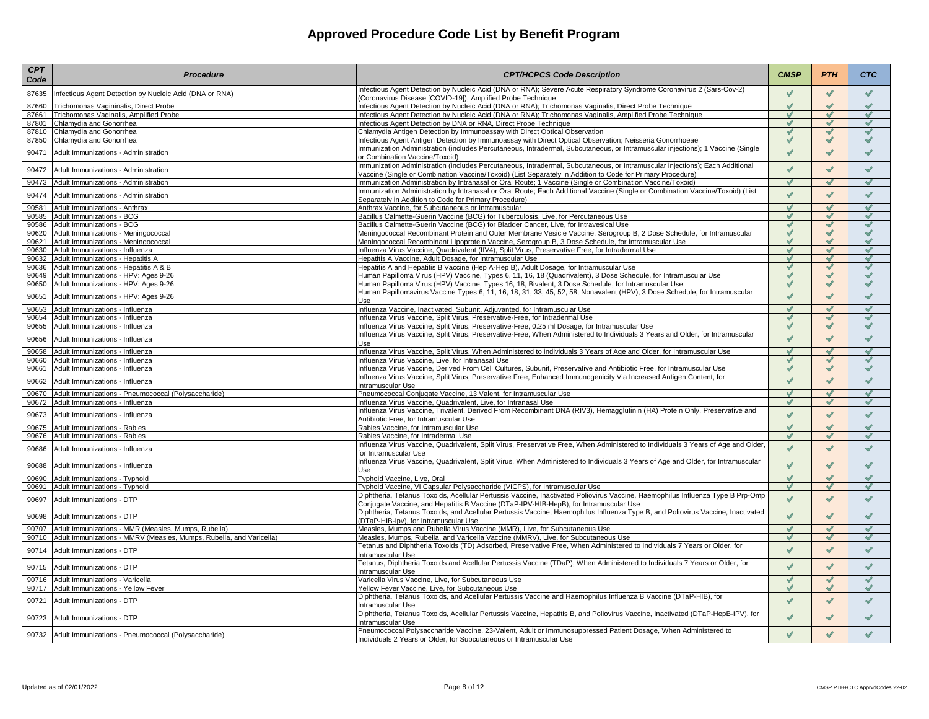| <b>CPT</b><br>Code | <b>Procedure</b>                                                    | <b>CPT/HCPCS Code Description</b>                                                                                                                                                                                                          | <b>CMSP</b>   | <b>PTH</b>               | <b>CTC</b>   |
|--------------------|---------------------------------------------------------------------|--------------------------------------------------------------------------------------------------------------------------------------------------------------------------------------------------------------------------------------------|---------------|--------------------------|--------------|
| 87635              | Infectious Agent Detection by Nucleic Acid (DNA or RNA)             | Infectious Agent Detection by Nucleic Acid (DNA or RNA); Severe Acute Respiratory Syndrome Coronavirus 2 (Sars-Cov-2)<br>Coronavirus Disease [COVID-19]), Amplified Probe Technique                                                        | $\checkmark$  | $\checkmark$             | $\checkmark$ |
| 87660              | Trichomonas Vagininalis, Direct Probe                               | Infectious Agent Detection by Nucleic Acid (DNA or RNA); Trichomonas Vaginalis, Direct Probe Technique                                                                                                                                     | ✔             | $\checkmark$             | $\checkmark$ |
| 87661              | Trichomonas Vaginalis, Amplified Probe                              | Infectious Agent Detection by Nucleic Acid (DNA or RNA); Trichomonas Vaginalis, Amplified Probe Technique                                                                                                                                  | √             | $\overline{\mathcal{A}}$ | ✔            |
| 87801              | Chlamydia and Gonorrhea                                             | Infectious Agent Detection by DNA or RNA, Direct Probe Technique                                                                                                                                                                           | $\mathscr{I}$ | J                        | J            |
| 87810              | Chlamydia and Gonorrhea                                             | Chlamydia Antigen Detection by Immunoassay with Direct Optical Observation                                                                                                                                                                 | $\checkmark$  | $\checkmark$             | $\checkmark$ |
| 87850              | Chlamydia and Gonorrhea                                             | Infectious Agent Antigen Detection by Immunoassay with Direct Optical Observation; Neisseria Gonorrhoeae                                                                                                                                   | ✔             | $\checkmark$             | ✔            |
| 90471              | Adult Immunizations - Administration                                | Immunization Administration (includes Percutaneous, Intradermal, Subcutaneous, or Intramuscular injections); 1 Vaccine (Single<br>or Combination Vaccine/Toxoid)                                                                           | $\checkmark$  | $\checkmark$             | $\checkmark$ |
| 90472              | Adult Immunizations - Administration                                | Immunization Administration (includes Percutaneous, Intradermal, Subcutaneous, or Intramuscular injections); Each Additional<br>Vaccine (Single or Combination Vaccine/Toxoid) (List Separately in Addition to Code for Primary Procedure) | $\checkmark$  | $\checkmark$             | $\checkmark$ |
| 90473              | Adult Immunizations - Administration                                | Immunization Administration by Intranasal or Oral Route; 1 Vaccine (Single or Combination Vaccine/Toxoid)                                                                                                                                  | $\checkmark$  | J                        | ✔            |
| 90474              | Adult Immunizations - Administration                                | Immunization Administration by Intranasal or Oral Route; Each Additional Vaccine (Single or Combination Vaccine/Toxoid) (List<br>Separately in Addition to Code for Primary Procedure)                                                     | $\checkmark$  | $\checkmark$             | $\checkmark$ |
| 90581              | Adult Immunizations - Anthrax                                       | Anthrax Vaccine, for Subcutaneous or Intramuscular                                                                                                                                                                                         | $\checkmark$  | $\checkmark$             | $\checkmark$ |
| 90585              | Adult Immunizations - BCG                                           | Bacillus Calmette-Guerin Vaccine (BCG) for Tuberculosis, Live, for Percutaneous Use                                                                                                                                                        | $\checkmark$  | ✔                        | ✔            |
| 90586              | <b>Adult Immunizations - BCG</b>                                    | Bacillus Calmette-Guerin Vaccine (BCG) for Bladder Cancer, Live, for Intravesical Use                                                                                                                                                      | $\checkmark$  | $\checkmark$             | $\checkmark$ |
| 90620              | Adult Immunizations - Meningococcal                                 | Meningococcal Recombinant Protein and Outer Membrane Vesicle Vaccine, Serogroup B, 2 Dose Schedule, for Intramuscular                                                                                                                      | ✔             | $\checkmark$             | $\checkmark$ |
| 90621              | Adult Immunizations - Meningococcal                                 | Meningococcal Recombinant Lipoprotein Vaccine, Serogroup B, 3 Dose Schedule, for Intramuscular Use                                                                                                                                         | ✔             | ✔                        | $\checkmark$ |
| 90630              | Adult Immunizations - Influenza                                     | Influenza Virus Vaccine, Quadrivalent (IIV4), Split Virus, Preservative Free, for Intradermal Use                                                                                                                                          | ✔             | $\checkmark$             | $\checkmark$ |
| 90632              | Adult Immunizations - Hepatitis A                                   | Hepatitis A Vaccine, Adult Dosage, for Intramuscular Use                                                                                                                                                                                   | $\checkmark$  | $\checkmark$             | $\checkmark$ |
| 90636              | Adult Immunizations - Hepatitis A & B                               | Hepatitis A and Hepatitis B Vaccine (Hep A-Hep B), Adult Dosage, for Intramuscular Use                                                                                                                                                     | $\checkmark$  | $\checkmark$             | $\checkmark$ |
| 90649              | Adult Immunizations - HPV: Ages 9-26                                | Human Papilloma Virus (HPV) Vaccine, Types 6, 11, 16, 18 (Quadrivalent), 3 Dose Schedule, for Intramuscular Use                                                                                                                            | $\checkmark$  | ✔                        | $\checkmark$ |
| 90650              | Adult Immunizations - HPV: Ages 9-26                                | Human Papilloma Virus (HPV) Vaccine, Types 16, 18, Bivalent, 3 Dose Schedule, for Intramuscular Use                                                                                                                                        | $\checkmark$  | $\checkmark$             | $\checkmark$ |
| 90651              | Adult Immunizations - HPV: Ages 9-26                                | Human Papillomavirus Vaccine Types 6, 11, 16, 18, 31, 33, 45, 52, 58, Nonavalent (HPV), 3 Dose Schedule, for Intramuscular<br>۱۵۵                                                                                                          | $\checkmark$  | $\checkmark$             | $\checkmark$ |
| 90653              | Adult Immunizations - Influenza                                     | Influenza Vaccine, Inactivated, Subunit, Adjuvanted, for Intramuscular Use                                                                                                                                                                 | $\checkmark$  | $\checkmark$             | $\checkmark$ |
| 90654              | Adult Immunizations - Influenza                                     | Influenza Virus Vaccine, Split Virus, Preservative-Free, for Intradermal Use                                                                                                                                                               | $\checkmark$  | $\overline{\mathscr{A}}$ | ✔            |
| 90655              | Adult Immunizations - Influenza                                     | Influenza Virus Vaccine, Split Virus, Preservative-Free, 0.25 ml Dosage, for Intramuscular Use                                                                                                                                             | ✔             | ✔                        | ✔            |
| 90656              | Adult Immunizations - Influenza                                     | Influenza Virus Vaccine, Split Virus, Preservative-Free, When Administered to Individuals 3 Years and Older, for Intramuscular<br>l Ise                                                                                                    | $\checkmark$  | $\checkmark$             | $\checkmark$ |
| 90658              | Adult Immunizations - Influenza                                     | Influenza Virus Vaccine, Split Virus, When Administered to individuals 3 Years of Age and Older, for Intramuscular Use                                                                                                                     | $\checkmark$  | $\checkmark$             | $\checkmark$ |
| 90660              | Adult Immunizations - Influenza                                     | Influenza Virus Vaccine, Live, for Intranasal Use                                                                                                                                                                                          | $\checkmark$  | √                        | ✔            |
| 90661              | Adult Immunizations - Influenza                                     | Influenza Virus Vaccine, Derived From Cell Cultures, Subunit, Preservative and Antibiotic Free, for Intramuscular Use                                                                                                                      | $\checkmark$  | ✔                        | ✔            |
| 90662              | Adult Immunizations - Influenza                                     | Influenza Virus Vaccine, Split Virus, Preservative Free, Enhanced Immunogenicity Via Increased Antigen Content, for<br>Intramuscular Use                                                                                                   | $\checkmark$  | $\checkmark$             | $\checkmark$ |
| 90670              | Adult Immunizations - Pneumococcal (Polysaccharide)                 | Pneumococcal Conjugate Vaccine, 13 Valent, for Intramuscular Use                                                                                                                                                                           | $\checkmark$  | $\checkmark$             | $\checkmark$ |
| 90672              | Adult Immunizations - Influenza                                     | Influenza Virus Vaccine, Quadrivalent, Live, for Intranasal Use                                                                                                                                                                            | $\checkmark$  | ✔                        | $\checkmark$ |
| 90673              | Adult Immunizations - Influenza                                     | Influenza Virus Vaccine, Trivalent, Derived From Recombinant DNA (RIV3), Hemagglutinin (HA) Protein Only, Preservative and<br>Antibiotic Free, for Intramuscular Use                                                                       | $\checkmark$  | $\checkmark$             | $\checkmark$ |
| 90675              | Adult Immunizations - Rabies                                        | Rabies Vaccine, for Intramuscular Use                                                                                                                                                                                                      | $\checkmark$  | $\overline{\mathscr{A}}$ | $\checkmark$ |
| 90676              | <b>Adult Immunizations - Rabies</b>                                 | Rabies Vaccine, for Intradermal Use                                                                                                                                                                                                        | ✔             | ✔                        | ✔            |
| 90686              | Adult Immunizations - Influenza                                     | Influenza Virus Vaccine, Quadrivalent, Split Virus, Preservative Free, When Administered to Individuals 3 Years of Age and Older,<br>for Intramuscular Use                                                                                 | $\checkmark$  | $\checkmark$             | $\checkmark$ |
| 90688              | Adult Immunizations - Influenza                                     | Influenza Virus Vaccine, Quadrivalent, Split Virus, When Administered to Individuals 3 Years of Age and Older, for Intramuscular<br>Use                                                                                                    | $\checkmark$  | $\checkmark$             | $\checkmark$ |
| 90690              | Adult Immunizations - Typhoid                                       | Typhoid Vaccine, Live, Oral                                                                                                                                                                                                                | $\checkmark$  | ✔                        | ✔            |
| 90691              | Adult Immunizations - Typhoid                                       | Typhoid Vaccine, VI Capsular Polysaccharide (VICPS), for Intramuscular Use                                                                                                                                                                 | $\checkmark$  | ✔                        | ✔            |
| 90697              | <b>Adult Immunizations - DTP</b>                                    | Diphtheria, Tetanus Toxoids, Acellular Pertussis Vaccine, Inactivated Poliovirus Vaccine, Haemophilus Influenza Type B Prp-Omp<br>Conjugate Vaccine, and Hepatitis B Vaccine (DTaP-IPV-HIB-HepB), for Intramuscular Use                    | $\checkmark$  | $\checkmark$             | $\checkmark$ |
| 90698              | Adult Immunizations - DTP                                           | Diphtheria, Tetanus Toxoids, and Acellular Pertussis Vaccine, Haemophilus Influenza Type B, and Poliovirus Vaccine, Inactivated<br>(DTaP-HIB-lpv), for Intramuscular Use                                                                   | $\checkmark$  | $\checkmark$             | $\checkmark$ |
| 90707              | Adult Immunizations - MMR (Measles, Mumps, Rubella)                 | Measles, Mumps and Rubella Virus Vaccine (MMR), Live, for Subcutaneous Use                                                                                                                                                                 | $\checkmark$  | $\checkmark$             | J            |
| 90710              | Adult Immunizations - MMRV (Measles, Mumps, Rubella, and Varicella) | Measles, Mumps, Rubella, and Varicella Vaccine (MMRV), Live, for Subcutaneous Use                                                                                                                                                          | $\checkmark$  | $\checkmark$             | $\checkmark$ |
|                    |                                                                     | Tetanus and Diphtheria Toxoids (TD) Adsorbed, Preservative Free, When Administered to Individuals 7 Years or Older, for                                                                                                                    |               |                          |              |
| 90714              | Adult Immunizations - DTP                                           | Intramuscular Use<br>Tetanus, Diphtheria Toxoids and Acellular Pertussis Vaccine (TDaP), When Administered to Individuals 7 Years or Older, for                                                                                            | $\checkmark$  | $\checkmark$             | $\checkmark$ |
| 90715              | Adult Immunizations - DTP                                           | Intramuscular Use                                                                                                                                                                                                                          | $\checkmark$  | $\checkmark$             | $\checkmark$ |
| 90716              | <b>Adult Immunizations - Varicella</b>                              | Varicella Virus Vaccine, Live, for Subcutaneous Use                                                                                                                                                                                        | $\checkmark$  | $\overline{\mathcal{L}}$ | $\checkmark$ |
| 90717              | <b>Adult Immunizations - Yellow Fever</b>                           | Yellow Fever Vaccine, Live, for Subcutaneous Use                                                                                                                                                                                           | $\checkmark$  | $\checkmark$             | $\checkmark$ |
| 90721              | Adult Immunizations - DTP                                           | Diphtheria, Tetanus Toxoids, and Acellular Pertussis Vaccine and Haemophilus Influenza B Vaccine (DTaP-HIB), for<br>ntramuscular Use                                                                                                       | $\checkmark$  | $\checkmark$             | $\checkmark$ |
| 90723              | Adult Immunizations - DTP                                           | Diphtheria, Tetanus Toxoids, Acellular Pertussis Vaccine, Hepatitis B, and Poliovirus Vaccine, Inactivated (DTaP-HepB-IPV), for<br>ntramuscular Use                                                                                        | $\checkmark$  | $\checkmark$             | ✔            |
| 90732              | Adult Immunizations - Pneumococcal (Polysaccharide)                 | Pneumococcal Polysaccharide Vaccine, 23-Valent, Adult or Immunosuppressed Patient Dosage, When Administered to<br>Individuals 2 Years or Older, for Subcutaneous or Intramuscular Use                                                      | $\checkmark$  | $\checkmark$             | $\checkmark$ |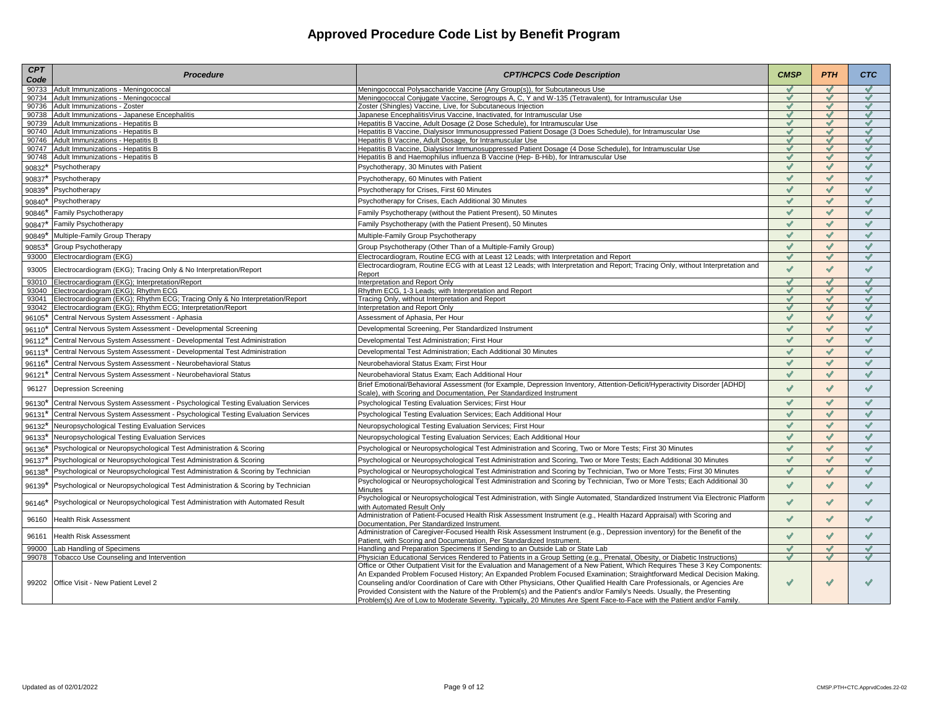| <b>CPT</b><br>Code | <b>Procedure</b>                                                                | <b>CPT/HCPCS Code Description</b>                                                                                                                                                                                                                                                                                                                                                                                                                                                                           | <b>CMSP</b>       | <b>PTH</b>    | <b>CTC</b>                   |
|--------------------|---------------------------------------------------------------------------------|-------------------------------------------------------------------------------------------------------------------------------------------------------------------------------------------------------------------------------------------------------------------------------------------------------------------------------------------------------------------------------------------------------------------------------------------------------------------------------------------------------------|-------------------|---------------|------------------------------|
| 90733              | Adult Immunizations - Meningococcal                                             | Meningococcal Polysaccharide Vaccine (Any Group(s)), for Subcutaneous Use                                                                                                                                                                                                                                                                                                                                                                                                                                   | ✔                 | $\checkmark$  | $\checkmark$                 |
|                    | 90734 Adult Immunizations - Meningococcal                                       | Meningococcal Conjugate Vaccine, Serogroups A, C, Y and W-135 (Tetravalent), for Intramuscular Use                                                                                                                                                                                                                                                                                                                                                                                                          | $\checkmark$      | $\checkmark$  | $\checkmark$                 |
| 90736<br>90738     | Adult Immunizations - Zoster<br>Adult Immunizations - Japanese Encephalitis     | Zoster (Shingles) Vaccine, Live, for Subcutaneous Injection<br>Japanese EncephalitisVirus Vaccine, Inactivated, for Intramuscular Use                                                                                                                                                                                                                                                                                                                                                                       | $\checkmark$<br>✔ | ✔<br>✔        | $\checkmark$<br>$\checkmark$ |
| 90739              | Adult Immunizations - Hepatitis B                                               | Hepatitis B Vaccine, Adult Dosage (2 Dose Schedule), for Intramuscular Use                                                                                                                                                                                                                                                                                                                                                                                                                                  | ✔                 | $\checkmark$  | $\mathscr I$                 |
| 90740              | Adult Immunizations - Hepatitis B                                               | Hepatitis B Vaccine, Dialysisor Immunosuppressed Patient Dosage (3 Does Schedule), for Intramuscular Use                                                                                                                                                                                                                                                                                                                                                                                                    | $\checkmark$      | ✔             | $\checkmark$                 |
| 90746              | Adult Immunizations - Hepatitis B                                               | Hepatitis B Vaccine, Adult Dosage, for Intramuscular Use                                                                                                                                                                                                                                                                                                                                                                                                                                                    | $\checkmark$      | ✔             | $\checkmark$                 |
| 90747              | Adult Immunizations - Hepatitis B                                               | Hepatitis B Vaccine, Dialysisor Immunosuppressed Patient Dosage (4 Dose Schedule), for Intramuscular Use                                                                                                                                                                                                                                                                                                                                                                                                    | ✔                 | ✔             | $\checkmark$                 |
| 90748              | Adult Immunizations - Hepatitis B                                               | Hepatitis B and Haemophilus influenza B Vaccine (Hep-B-Hib), for Intramuscular Use                                                                                                                                                                                                                                                                                                                                                                                                                          | ৶                 |               | $\checkmark$                 |
| 90832*             | Psychotherapy                                                                   | Psychotherapy, 30 Minutes with Patient                                                                                                                                                                                                                                                                                                                                                                                                                                                                      | $\checkmark$      | $\checkmark$  | $\checkmark$                 |
| 90837              | Psychotherapy                                                                   | Psychotherapy, 60 Minutes with Patient                                                                                                                                                                                                                                                                                                                                                                                                                                                                      | $\checkmark$      | ✔             | $\checkmark$                 |
| 90839              | Psychotherapy                                                                   | Psychotherapy for Crises, First 60 Minutes                                                                                                                                                                                                                                                                                                                                                                                                                                                                  | $\checkmark$      |               | $\checkmark$                 |
| 90840              | Psychotherapy                                                                   | Psychotherapy for Crises, Each Additional 30 Minutes                                                                                                                                                                                                                                                                                                                                                                                                                                                        | $\checkmark$      | پ             | $\checkmark$                 |
| 90846              | Family Psychotherapy                                                            | Family Psychotherapy (without the Patient Present), 50 Minutes                                                                                                                                                                                                                                                                                                                                                                                                                                              | $\checkmark$      | ✔             | $\checkmark$                 |
| 90847              | Family Psychotherapy                                                            | Family Psychotherapy (with the Patient Present), 50 Minutes                                                                                                                                                                                                                                                                                                                                                                                                                                                 | $\checkmark$      | $\checkmark$  | ✔                            |
| 90849              | Multiple-Family Group Therapy                                                   | Multiple-Family Group Psychotherapy                                                                                                                                                                                                                                                                                                                                                                                                                                                                         | $\checkmark$      | $\checkmark$  | $\checkmark$                 |
| 90853              | Group Psychotherapy                                                             | Group Psychotherapy (Other Than of a Multiple-Family Group)                                                                                                                                                                                                                                                                                                                                                                                                                                                 | $\checkmark$      | ✔             | ✔                            |
| 93000              | Electrocardiogram (EKG)                                                         | Electrocardiogram, Routine ECG with at Least 12 Leads; with Interpretation and Report                                                                                                                                                                                                                                                                                                                                                                                                                       | $\checkmark$      | $\checkmark$  | $\checkmark$                 |
| 93005              | Electrocardiogram (EKG); Tracing Only & No Interpretation/Report                | Electrocardiogram, Routine ECG with at Least 12 Leads; with Interpretation and Report; Tracing Only, without Interpretation and                                                                                                                                                                                                                                                                                                                                                                             | $\checkmark$      | $\checkmark$  | $\checkmark$                 |
| 93010              | Electrocardiogram (EKG): Interpretation/Report                                  | Report<br>Interpretation and Report Only                                                                                                                                                                                                                                                                                                                                                                                                                                                                    | ✔                 | $\mathscr{A}$ | $\checkmark$                 |
| 93040              | Electrocardiogram (EKG); Rhythm ECG                                             | Rhythm ECG, 1-3 Leads; with Interpretation and Report                                                                                                                                                                                                                                                                                                                                                                                                                                                       | $\checkmark$      | ✔             | ✔                            |
| 93041              | Electrocardiogram (EKG); Rhythm ECG; Tracing Only & No Interpretation/Report    | Tracing Only, without Interpretation and Report                                                                                                                                                                                                                                                                                                                                                                                                                                                             | $\checkmark$      | ✔             | ✔                            |
| 93042              | Electrocardiogram (EKG); Rhythm ECG; Interpretation/Report                      | Interpretation and Report Only                                                                                                                                                                                                                                                                                                                                                                                                                                                                              | $\checkmark$      | $\checkmark$  | $\checkmark$                 |
| 96105              | Central Nervous System Assessment - Aphasia                                     | Assessment of Aphasia, Per Hour                                                                                                                                                                                                                                                                                                                                                                                                                                                                             | $\checkmark$      | ✔             | ✔                            |
| 96110              | Central Nervous System Assessment - Developmental Screening                     | Developmental Screening, Per Standardized Instrument                                                                                                                                                                                                                                                                                                                                                                                                                                                        | $\checkmark$      | $\checkmark$  | $\checkmark$                 |
| 96112              | Central Nervous System Assessment - Developmental Test Administration           | Developmental Test Administration; First Hour                                                                                                                                                                                                                                                                                                                                                                                                                                                               | ✔                 | ✔             | $\checkmark$                 |
| 96113              | Central Nervous System Assessment - Developmental Test Administration           | Developmental Test Administration; Each Additional 30 Minutes                                                                                                                                                                                                                                                                                                                                                                                                                                               | $\checkmark$      | $\checkmark$  | $\checkmark$                 |
| 96116              | Central Nervous System Assessment - Neurobehavioral Status                      | Neurobehavioral Status Exam: First Hour                                                                                                                                                                                                                                                                                                                                                                                                                                                                     | $\checkmark$      | ✔             | ✔                            |
| 96121              | Central Nervous System Assessment - Neurobehavioral Status                      | Neurobehavioral Status Exam; Each Additional Hour                                                                                                                                                                                                                                                                                                                                                                                                                                                           | $\checkmark$      | ✔             | $\checkmark$                 |
| 96127              | Depression Screening                                                            | Brief Emotional/Behavioral Assessment (for Example, Depression Inventory, Attention-Deficit/Hyperactivity Disorder [ADHD]<br>Scale), with Scoring and Documentation, Per Standardized Instrument                                                                                                                                                                                                                                                                                                            | $\checkmark$      | $\checkmark$  | $\checkmark$                 |
| 96130              | Central Nervous System Assessment - Psychological Testing Evaluation Services   | Psychological Testing Evaluation Services; First Hour                                                                                                                                                                                                                                                                                                                                                                                                                                                       | $\checkmark$      | ৶             | $\checkmark$                 |
| 96131              | Central Nervous System Assessment - Psychological Testing Evaluation Services   | Psychological Testing Evaluation Services; Each Additional Hour                                                                                                                                                                                                                                                                                                                                                                                                                                             | $\checkmark$      | ✔             | ✔                            |
| 96132              | Neuropsychological Testing Evaluation Services                                  | Neuropsychological Testing Evaluation Services; First Hour                                                                                                                                                                                                                                                                                                                                                                                                                                                  | ✔                 | ✔             | ✔                            |
| 96133              | Neuropsychological Testing Evaluation Services                                  | Neuropsychological Testing Evaluation Services; Each Additional Hour                                                                                                                                                                                                                                                                                                                                                                                                                                        | $\checkmark$      | ৶             | $\checkmark$                 |
| 96136              | Psychological or Neuropsychological Test Administration & Scoring               | Psychological or Neuropsychological Test Administration and Scoring, Two or More Tests; First 30 Minutes                                                                                                                                                                                                                                                                                                                                                                                                    | $\checkmark$      | ✔             | ✔                            |
| 96137              | Psychological or Neuropsychological Test Administration & Scoring               | Psychological or Neuropsychological Test Administration and Scoring, Two or More Tests; Each Additional 30 Minutes                                                                                                                                                                                                                                                                                                                                                                                          | $\checkmark$      | $\checkmark$  | $\checkmark$                 |
| 96138              | Psychological or Neuropsychological Test Administration & Scoring by Technician | Psychological or Neuropsychological Test Administration and Scoring by Technician, Two or More Tests; First 30 Minutes                                                                                                                                                                                                                                                                                                                                                                                      | $\checkmark$      | ✔             | $\checkmark$                 |
| 96139              | Psychological or Neuropsychological Test Administration & Scoring by Technician | Psychological or Neuropsychological Test Administration and Scoring by Technician, Two or More Tests; Each Additional 30<br>Minutes                                                                                                                                                                                                                                                                                                                                                                         | $\checkmark$      | $\checkmark$  | $\checkmark$                 |
| 96146              | Psychological or Neuropsychological Test Administration with Automated Result   | Psychological or Neuropsychological Test Administration, with Single Automated, Standardized Instrument Via Electronic Platform<br>with Automated Result Only                                                                                                                                                                                                                                                                                                                                               | $\checkmark$      | ৶             | $\checkmark$                 |
| 96160              | <b>Health Risk Assessment</b>                                                   | Administration of Patient-Focused Health Risk Assessment Instrument (e.g., Health Hazard Appraisal) with Scoring and<br>Documentation, Per Standardized Instrument.                                                                                                                                                                                                                                                                                                                                         | $\checkmark$      | $\checkmark$  | $\checkmark$                 |
| 96161              | <b>Health Risk Assessment</b>                                                   | Administration of Caregiver-Focused Health Risk Assessment Instrument (e.g., Depression inventory) for the Benefit of the<br>Patient, with Scoring and Documentation. Per Standardized Instrument                                                                                                                                                                                                                                                                                                           | $\checkmark$      | $\checkmark$  | $\checkmark$                 |
| 99000              | Lab Handling of Specimens                                                       | Handling and Preparation Specimens If Sending to an Outside Lab or State Lab                                                                                                                                                                                                                                                                                                                                                                                                                                | $\checkmark$      | J             | ✔                            |
| 99078              | Tobacco Use Counseling and Intervention                                         | Physician Educational Services Rendered to Patients in a Group Setting (e.g., Prenatal, Obesity, or Diabetic Instructions)                                                                                                                                                                                                                                                                                                                                                                                  | J                 | $\checkmark$  | ✔                            |
| 99202              | Office Visit - New Patient Level 2                                              | Office or Other Outpatient Visit for the Evaluation and Management of a New Patient, Which Requires These 3 Key Components:<br>An Expanded Problem Focused History; An Expanded Problem Focused Examination; Straightforward Medical Decision Making.<br>Counseling and/or Coordination of Care with Other Physicians, Other Qualified Health Care Professionals, or Agencies Are<br>Provided Consistent with the Nature of the Problem(s) and the Patient's and/or Family's Needs. Usually, the Presenting | ✔                 | ✔             |                              |
|                    |                                                                                 | Problem(s) Are of Low to Moderate Severity, Typically, 20 Minutes Are Spent Face-to-Face with the Patient and/or Family,                                                                                                                                                                                                                                                                                                                                                                                    |                   |               |                              |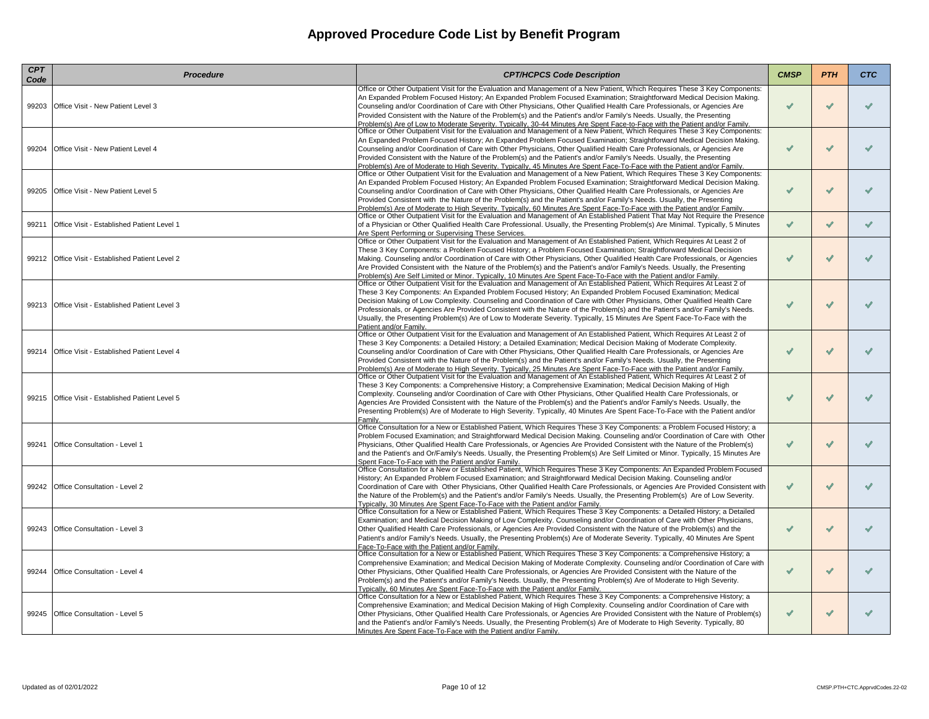| <b>CPT</b><br>Code | <b>Procedure</b>                                 | <b>CPT/HCPCS Code Description</b>                                                                                                                                                                                                                                                                                                                                                                                                                                                                                                                                                                                                                                | <b>CMSP</b>  | <b>PTH</b>               | CTC          |
|--------------------|--------------------------------------------------|------------------------------------------------------------------------------------------------------------------------------------------------------------------------------------------------------------------------------------------------------------------------------------------------------------------------------------------------------------------------------------------------------------------------------------------------------------------------------------------------------------------------------------------------------------------------------------------------------------------------------------------------------------------|--------------|--------------------------|--------------|
| 99203              | Office Visit - New Patient Level 3               | Office or Other Outpatient Visit for the Evaluation and Management of a New Patient, Which Requires These 3 Key Components:<br>An Expanded Problem Focused History; An Expanded Problem Focused Examination; Straightforward Medical Decision Making.<br>Counseling and/or Coordination of Care with Other Physicians, Other Qualified Health Care Professionals, or Agencies Are<br>Provided Consistent with the Nature of the Problem(s) and the Patient's and/or Family's Needs. Usually, the Presenting<br>Problem(s) Are of Low to Moderate Severity. Typically, 30-44 Minutes Are Spent Face-to-Face with the Patient and/or Family.                       | √            | M                        |              |
| 99204              | Office Visit - New Patient Level 4               | Office or Other Outpatient Visit for the Evaluation and Management of a New Patient, Which Requires These 3 Key Components:<br>An Expanded Problem Focused History; An Expanded Problem Focused Examination; Straightforward Medical Decision Making.<br>Counseling and/or Coordination of Care with Other Physicians, Other Qualified Health Care Professionals, or Agencies Are<br>Provided Consistent with the Nature of the Problem(s) and the Patient's and/or Family's Needs. Usually, the Presenting<br>Problem(s) Are of Moderate to High Severity. Typically, 45 Minutes Are Spent Face-To-Face with the Patient and/or Family.                         | $\checkmark$ | ✔                        |              |
|                    | 99205 Office Visit - New Patient Level 5         | Office or Other Outpatient Visit for the Evaluation and Management of a New Patient, Which Requires These 3 Key Components:<br>An Expanded Problem Focused History; An Expanded Problem Focused Examination; Straightforward Medical Decision Making.<br>Counseling and/or Coordination of Care with Other Physicians, Other Qualified Health Care Professionals, or Agencies Are<br>Provided Consistent with the Nature of the Problem(s) and the Patient's and/or Family's Needs. Usually, the Presenting<br>Problem(s) Are of Moderate to High Severity. Typically, 60 Minutes Are Spent Face-To-Face with the Patient and/or Family.                         | $\checkmark$ | ✔                        |              |
| 99211              | Office Visit - Established Patient Level 1       | Office or Other Outpatient Visit for the Evaluation and Management of An Established Patient That May Not Require the Presence<br>of a Physician or Other Qualified Health Care Professional. Usually, the Presenting Problem(s) Are Minimal. Typically, 5 Minutes<br>Are Spent Performing or Supervising These Services.                                                                                                                                                                                                                                                                                                                                        | ✔            | ✔                        | $\checkmark$ |
|                    | 99212 Office Visit - Established Patient Level 2 | Office or Other Outpatient Visit for the Evaluation and Management of An Established Patient, Which Requires At Least 2 of<br>These 3 Key Components: a Problem Focused History; a Problem Focused Examination; Straightforward Medical Decision<br>Making. Counseling and/or Coordination of Care with Other Physicians, Other Qualified Health Care Professionals, or Agencies<br>Are Provided Consistent with the Nature of the Problem(s) and the Patient's and/or Family's Needs. Usually, the Presenting<br>Problem(s) Are Self Limited or Minor. Typically, 10 Minutes Are Spent Face-To-Face with the Patient and/or Family.                             | $\checkmark$ | $\mathbf{v}$             |              |
|                    | 99213 Office Visit - Established Patient Level 3 | Office or Other Outpatient Visit for the Evaluation and Management of An Established Patient, Which Requires At Least 2 of<br>These 3 Key Components: An Expanded Problem Focused History; An Expanded Problem Focused Examination; Medical<br>Decision Making of Low Complexity. Counseling and Coordination of Care with Other Physicians, Other Qualified Health Care<br>Professionals, or Agencies Are Provided Consistent with the Nature of the Problem(s) and the Patient's and/or Family's Needs.<br>Usually, the Presenting Problem(s) Are of Low to Moderate Severity. Typically, 15 Minutes Are Spent Face-To-Face with the<br>Patient and/or Family. | $\checkmark$ | $\checkmark$             |              |
|                    | 99214 Office Visit - Established Patient Level 4 | Office or Other Outpatient Visit for the Evaluation and Management of An Established Patient, Which Requires At Least 2 of<br>These 3 Key Components: a Detailed History; a Detailed Examination; Medical Decision Making of Moderate Complexity.<br>Counseling and/or Coordination of Care with Other Physicians, Other Qualified Health Care Professionals, or Agencies Are<br>Provided Consistent with the Nature of the Problem(s) and the Patient's and/or Family's Needs. Usually, the Presenting<br>Problem(s) Are of Moderate to High Severity. Typically, 25 Minutes Are Spent Face-To-Face with the Patient and/or Family.                             | $\checkmark$ | $\checkmark$             |              |
|                    | 99215 Office Visit - Established Patient Level 5 | Office or Other Outpatient Visit for the Evaluation and Management of An Established Patient, Which Requires At Least 2 of<br>These 3 Key Components: a Comprehensive History: a Comprehensive Examination: Medical Decision Making of High<br>Complexity. Counseling and/or Coordination of Care with Other Physicians, Other Qualified Health Care Professionals, or<br>Agencies Are Provided Consistent with the Nature of the Problem(s) and the Patient's and/or Family's Needs. Usually, the<br>Presenting Problem(s) Are of Moderate to High Severity. Typically, 40 Minutes Are Spent Face-To-Face with the Patient and/or<br>Family.                    | $\checkmark$ | $\checkmark$             |              |
| 99241              | Office Consultation - Level 1                    | Office Consultation for a New or Established Patient, Which Requires These 3 Key Components: a Problem Focused History; a<br>Problem Focused Examination; and Straightforward Medical Decision Making. Counseling and/or Coordination of Care with Other<br>Physicians, Other Qualified Health Care Professionals, or Agencies Are Provided Consistent with the Nature of the Problem(s)<br>and the Patient's and Or/Family's Needs. Usually, the Presenting Problem(s) Are Self Limited or Minor. Typically, 15 Minutes Are<br>Spent Face-To-Face with the Patient and/or Family.                                                                               | $\checkmark$ | $\checkmark$             | $\checkmark$ |
| 99242              | Office Consultation - Level 2                    | Office Consultation for a New or Established Patient, Which Requires These 3 Key Components: An Expanded Problem Focused<br>History; An Expanded Problem Focused Examination; and Straightforward Medical Decision Making. Counseling and/or<br>Coordination of Care with Other Physicians, Other Qualified Health Care Professionals, or Agencies Are Provided Consistent with<br>the Nature of the Problem(s) and the Patient's and/or Family's Needs. Usually, the Presenting Problem(s) Are of Low Severity.<br>Typically, 30 Minutes Are Spent Face-To-Face with the Patient and/or Family.                                                                 | $\checkmark$ | $\checkmark$             |              |
|                    | 99243 Office Consultation - Level 3              | Office Consultation for a New or Established Patient, Which Requires These 3 Key Components: a Detailed History; a Detailed<br>Examination; and Medical Decision Making of Low Complexity. Counseling and/or Coordination of Care with Other Physicians,<br>Other Qualified Health Care Professionals, or Agencies Are Provided Consistent with the Nature of the Problem(s) and the<br>Patient's and/or Family's Needs. Usually, the Presenting Problem(s) Are of Moderate Severity. Typically, 40 Minutes Are Spent<br>Face-To-Face with the Patient and/or Family.                                                                                            | $\checkmark$ | $\checkmark$             |              |
| 99244              | Office Consultation - Level 4                    | Office Consultation for a New or Established Patient, Which Requires These 3 Key Components: a Comprehensive History; a<br>Comprehensive Examination; and Medical Decision Making of Moderate Complexity. Counseling and/or Coordination of Care with<br>Other Physicians, Other Qualified Health Care Professionals, or Agencies Are Provided Consistent with the Nature of the<br>Problem(s) and the Patient's and/or Family's Needs. Usually, the Presenting Problem(s) Are of Moderate to High Severity.<br>Typically, 60 Minutes Are Spent Face-To-Face with the Patient and/or Family.                                                                     | $\checkmark$ | $\overline{\mathcal{A}}$ |              |
|                    | 99245 Office Consultation - Level 5              | Office Consultation for a New or Established Patient, Which Requires These 3 Key Components: a Comprehensive History; a<br>Comprehensive Examination; and Medical Decision Making of High Complexity. Counseling and/or Coordination of Care with<br>Other Physicians, Other Qualified Health Care Professionals, or Agencies Are Provided Consistent with the Nature of Problem(s)<br>and the Patient's and/or Family's Needs. Usually, the Presenting Problem(s) Are of Moderate to High Severity. Typically, 80<br>Minutes Are Spent Face-To-Face with the Patient and/or Family.                                                                             | $\checkmark$ | $\checkmark$             |              |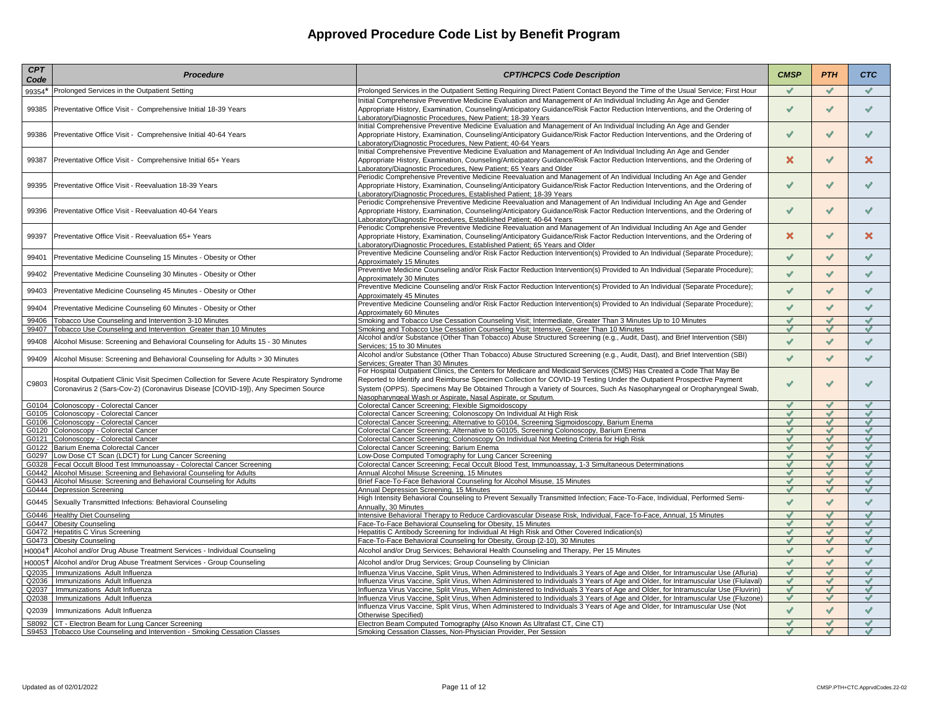| <b>CPT</b><br>Code                       | Procedure                                                                                                                                                                      | <b>CPT/HCPCS Code Description</b>                                                                                                                                                                                                                                                                                                                                                                                                   | <b>CMSP</b>                  | <b>PTH</b>                   | <b>CTC</b>                   |
|------------------------------------------|--------------------------------------------------------------------------------------------------------------------------------------------------------------------------------|-------------------------------------------------------------------------------------------------------------------------------------------------------------------------------------------------------------------------------------------------------------------------------------------------------------------------------------------------------------------------------------------------------------------------------------|------------------------------|------------------------------|------------------------------|
| 99354*                                   | Prolonged Services in the Outpatient Setting                                                                                                                                   | Prolonged Services in the Outpatient Setting Requiring Direct Patient Contact Beyond the Time of the Usual Service; First Hour                                                                                                                                                                                                                                                                                                      | $\checkmark$                 | ✔                            | ✔                            |
| 99385                                    | Preventative Office Visit - Comprehensive Initial 18-39 Years                                                                                                                  | Initial Comprehensive Preventive Medicine Evaluation and Management of An Individual Including An Age and Gender<br>Appropriate History, Examination, Counseling/Anticipatory Guidance/Risk Factor Reduction Interventions, and the Ordering of<br>Laboratory/Diagnostic Procedures, New Patient; 18-39 Years                                                                                                                       | $\checkmark$                 | ✔                            | $\checkmark$                 |
| 99386                                    | Preventative Office Visit - Comprehensive Initial 40-64 Years                                                                                                                  | Initial Comprehensive Preventive Medicine Evaluation and Management of An Individual Including An Age and Gender<br>Appropriate History, Examination, Counseling/Anticipatory Guidance/Risk Factor Reduction Interventions, and the Ordering of<br>aboratory/Diagnostic Procedures, New Patient; 40-64 Years                                                                                                                        | $\checkmark$                 | $\checkmark$                 | ✔                            |
| 99387                                    | Preventative Office Visit - Comprehensive Initial 65+ Years                                                                                                                    | Initial Comprehensive Preventive Medicine Evaluation and Management of An Individual Including An Age and Gender<br>Appropriate History, Examination, Counseling/Anticipatory Guidance/Risk Factor Reduction Interventions, and the Ordering of<br>Laboratory/Diagnostic Procedures, New Patient; 65 Years and Older                                                                                                                | ×                            | ✔                            | ×                            |
| 99395                                    | Preventative Office Visit - Reevaluation 18-39 Years                                                                                                                           | Periodic Comprehensive Preventive Medicine Reevaluation and Management of An Individual Including An Age and Gender<br>Appropriate History, Examination, Counseling/Anticipatory Guidance/Risk Factor Reduction Interventions, and the Ordering of<br>Laboratory/Diagnostic Procedures, Established Patient; 18-39 Years                                                                                                            | $\checkmark$                 | $\checkmark$                 | ✔                            |
| 99396                                    | Preventative Office Visit - Reevaluation 40-64 Years                                                                                                                           | Periodic Comprehensive Preventive Medicine Reevaluation and Management of An Individual Including An Age and Gender<br>Appropriate History, Examination, Counseling/Anticipatory Guidance/Risk Factor Reduction Interventions, and the Ordering of<br>Laboratory/Diagnostic Procedures, Established Patient; 40-64 Years                                                                                                            | $\checkmark$                 | ✔                            | $\checkmark$                 |
| 99397                                    | Preventative Office Visit - Reevaluation 65+ Years                                                                                                                             | Periodic Comprehensive Preventive Medicine Reevaluation and Management of An Individual Including An Age and Gender<br>Appropriate History, Examination, Counseling/Anticipatory Guidance/Risk Factor Reduction Interventions, and the Ordering of<br>Laboratory/Diagnostic Procedures, Established Patient: 65 Years and Older                                                                                                     | ×                            | ✔                            | ×                            |
| 99401                                    | Preventative Medicine Counseling 15 Minutes - Obesity or Other                                                                                                                 | Preventive Medicine Counseling and/or Risk Factor Reduction Intervention(s) Provided to An Individual (Separate Procedure);<br>Approximately 15 Minutes                                                                                                                                                                                                                                                                             | $\checkmark$                 | $\checkmark$                 | $\checkmark$                 |
| 99402                                    | Preventative Medicine Counseling 30 Minutes - Obesity or Other                                                                                                                 | Preventive Medicine Counseling and/or Risk Factor Reduction Intervention(s) Provided to An Individual (Separate Procedure);<br>Approximately 30 Minutes                                                                                                                                                                                                                                                                             | $\checkmark$                 | $\checkmark$                 | $\checkmark$                 |
| 99403                                    | Preventative Medicine Counseling 45 Minutes - Obesity or Other                                                                                                                 | Preventive Medicine Counseling and/or Risk Factor Reduction Intervention(s) Provided to An Individual (Separate Procedure);<br>Approximately 45 Minutes                                                                                                                                                                                                                                                                             | $\checkmark$                 | $\checkmark$                 | $\checkmark$                 |
| 99404                                    | Preventative Medicine Counseling 60 Minutes - Obesity or Other                                                                                                                 | Preventive Medicine Counseling and/or Risk Factor Reduction Intervention(s) Provided to An Individual (Separate Procedure);<br>Approximately 60 Minutes                                                                                                                                                                                                                                                                             | $\checkmark$                 | $\checkmark$                 | $\checkmark$                 |
| 99406                                    | Tobacco Use Counseling and Intervention 3-10 Minutes                                                                                                                           | Smoking and Tobacco Use Cessation Counseling Visit; Intermediate, Greater Than 3 Minutes Up to 10 Minutes                                                                                                                                                                                                                                                                                                                           | $\checkmark$                 | $\checkmark$                 | $\checkmark$                 |
| 99407                                    | Tobacco Use Counseling and Intervention Greater than 10 Minutes                                                                                                                | Smoking and Tobacco Use Cessation Counseling Visit; Intensive, Greater Than 10 Minutes                                                                                                                                                                                                                                                                                                                                              | $\checkmark$                 | $\checkmark$                 | ✔                            |
| 99408                                    | Alcohol Misuse: Screening and Behavioral Counseling for Adults 15 - 30 Minutes                                                                                                 | Alcohol and/or Substance (Other Than Tobacco) Abuse Structured Screening (e.g., Audit, Dast), and Brief Intervention (SBI)<br>Services: 15 to 30 Minutes                                                                                                                                                                                                                                                                            | $\checkmark$                 | $\checkmark$                 | $\checkmark$                 |
| 99409                                    | Alcohol Misuse: Screening and Behavioral Counseling for Adults > 30 Minutes                                                                                                    | Alcohol and/or Substance (Other Than Tobacco) Abuse Structured Screening (e.g., Audit, Dast), and Brief Intervention (SBI)<br>Services: Greater Than 30 Minutes                                                                                                                                                                                                                                                                     | $\checkmark$                 | ✔                            | $\checkmark$                 |
| C9803                                    | Hospital Outpatient Clinic Visit Specimen Collection for Severe Acute Respiratory Syndrome<br>Coronavirus 2 (Sars-Cov-2) (Coronavirus Disease [COVID-19]), Any Specimen Source | For Hospital Outpatient Clinics, the Centers for Medicare and Medicaid Services (CMS) Has Created a Code That May Be<br>Reported to Identify and Reimburse Specimen Collection for COVID-19 Testing Under the Outpatient Prospective Payment<br>System (OPPS). Specimens May Be Obtained Through a Variety of Sources, Such As Nasopharyngeal or Oropharyngeal Swab,<br>Nasopharyngeal Wash or Aspirate, Nasal Aspirate, or Sputum. | $\checkmark$                 | ✔                            | $\checkmark$                 |
| G0104                                    | Colonoscopy - Colorectal Cancer                                                                                                                                                | Colorectal Cancer Screening; Flexible Sigmoidoscopy                                                                                                                                                                                                                                                                                                                                                                                 | ✔                            | $\checkmark$                 | $\checkmark$                 |
| G0105                                    | Colonoscopy - Colorectal Cancer                                                                                                                                                | Colorectal Cancer Screening; Colonoscopy On Individual At High Risk                                                                                                                                                                                                                                                                                                                                                                 | $\checkmark$                 | $\checkmark$                 | $\checkmark$                 |
| G0106                                    | Colonoscopy - Colorectal Cancer                                                                                                                                                | Colorectal Cancer Screening; Alternative to G0104, Screening Sigmoidoscopy, Barium Enema                                                                                                                                                                                                                                                                                                                                            | $\checkmark$                 | ✔                            | $\checkmark$                 |
| G0120                                    | Colonoscopy - Colorectal Cancer                                                                                                                                                | Colorectal Cancer Screening; Alternative to G0105, Screening Colonoscopy, Barium Enema                                                                                                                                                                                                                                                                                                                                              | ✔                            | $\checkmark$                 | $\checkmark$                 |
| G0121                                    | Colonoscopy - Colorectal Cancer                                                                                                                                                | Colorectal Cancer Screening; Colonoscopy On Individual Not Meeting Criteria for High Risk                                                                                                                                                                                                                                                                                                                                           | $\checkmark$<br>✔            | ✔<br>✔                       | $\checkmark$<br>$\checkmark$ |
| G0122<br>G0297                           | Barium Enema Colorectal Cancer<br>Low Dose CT Scan (LDCT) for Lung Cancer Screening                                                                                            | Colorectal Cancer Screening; Barium Enema<br>Low-Dose Computed Tomography for Lung Cancer Screening                                                                                                                                                                                                                                                                                                                                 | $\checkmark$                 | $\checkmark$                 | $\checkmark$                 |
| G0328                                    | Fecal Occult Blood Test Immunoassay - Colorectal Cancer Screening                                                                                                              | Colorectal Cancer Screening; Fecal Occult Blood Test, Immunoassay, 1-3 Simultaneous Determinations                                                                                                                                                                                                                                                                                                                                  | ✔                            | ✔                            | $\checkmark$                 |
| G0442                                    | Alcohol Misuse: Screening and Behavioral Counseling for Adults                                                                                                                 | Annual Alcohol Misuse Screening, 15 Minutes                                                                                                                                                                                                                                                                                                                                                                                         | $\checkmark$                 | $\checkmark$                 | $\checkmark$                 |
| G0443                                    | Alcohol Misuse: Screening and Behavioral Counseling for Adults                                                                                                                 | Brief Face-To-Face Behavioral Counseling for Alcohol Misuse, 15 Minutes                                                                                                                                                                                                                                                                                                                                                             | $\checkmark$                 | $\checkmark$                 | $\checkmark$                 |
| G0444                                    | <b>Depression Screening</b>                                                                                                                                                    | Annual Depression Screening, 15 Minutes                                                                                                                                                                                                                                                                                                                                                                                             | $\checkmark$                 | $\checkmark$                 | $\checkmark$                 |
| G0445                                    | Sexually Transmitted Infections: Behavioral Counseling                                                                                                                         | High Intensity Behavioral Counseling to Prevent Sexually Transmitted Infection; Face-To-Face, Individual, Performed Semi-<br>Annually, 30 Minutes                                                                                                                                                                                                                                                                                   | $\checkmark$                 | $\checkmark$                 | $\checkmark$                 |
| G0446                                    | <b>Healthy Diet Counseling</b>                                                                                                                                                 | Intensive Behavioral Therapy to Reduce Cardiovascular Disease Risk, Individual, Face-To-Face, Annual, 15 Minutes                                                                                                                                                                                                                                                                                                                    | $\checkmark$                 | $\checkmark$                 | $\checkmark$                 |
| G0447                                    | <b>Obesity Counseling</b>                                                                                                                                                      | Face-To-Face Behavioral Counseling for Obesity, 15 Minutes                                                                                                                                                                                                                                                                                                                                                                          | $\checkmark$                 | $\checkmark$                 | $\checkmark$                 |
| G0472                                    | <b>Hepatitis C Virus Screening</b>                                                                                                                                             | Hepatitis C Antibody Screening for Individual At High Risk and Other Covered Indication(s)                                                                                                                                                                                                                                                                                                                                          | $\checkmark$                 | $\checkmark$                 | $\checkmark$                 |
| G0473                                    | <b>Obesity Counseling</b>                                                                                                                                                      | Face-To-Face Behavioral Counseling for Obesity, Group (2-10), 30 Minutes                                                                                                                                                                                                                                                                                                                                                            | $\checkmark$                 | ✔                            | $\checkmark$                 |
| H0004 <sup>+</sup><br>H0005 <sup>1</sup> | Alcohol and/or Drug Abuse Treatment Services - Individual Counseling<br>Alcohol and/or Drug Abuse Treatment Services - Group Counseling                                        | Alcohol and/or Drug Services; Behavioral Health Counseling and Therapy, Per 15 Minutes<br>Alcohol and/or Drug Services; Group Counseling by Clinician                                                                                                                                                                                                                                                                               | $\checkmark$<br>$\checkmark$ | $\checkmark$<br>$\checkmark$ | $\checkmark$<br>$\checkmark$ |
| Q2035                                    | Immunizations Adult Influenza                                                                                                                                                  | Influenza Virus Vaccine, Split Virus, When Administered to Individuals 3 Years of Age and Older, for Intramuscular Use (Afluria)                                                                                                                                                                                                                                                                                                    | $\checkmark$                 | $\checkmark$                 | $\checkmark$                 |
| Q2036                                    | Immunizations Adult Influenza                                                                                                                                                  | Influenza Virus Vaccine, Split Virus, When Administered to Individuals 3 Years of Age and Older, for Intramuscular Use (Flulaval)                                                                                                                                                                                                                                                                                                   | ✔                            | $\checkmark$                 | $\checkmark$                 |
| Q2037                                    | Immunizations Adult Influenza                                                                                                                                                  | Influenza Virus Vaccine, Split Virus, When Administered to Individuals 3 Years of Age and Older, for Intramuscular Use (Fluvirin)                                                                                                                                                                                                                                                                                                   | $\checkmark$                 | $\overline{\mathscr{L}}$     | $\checkmark$                 |
| Q2038                                    | Immunizations Adult Influenza                                                                                                                                                  | Influenza Virus Vaccine, Split Virus, When Administered to Individuals 3 Years of Age and Older, for Intramuscular Use (Fluzone)                                                                                                                                                                                                                                                                                                    | $\checkmark$                 | $\checkmark$                 | $\checkmark$                 |
| Q2039                                    | Immunizations Adult Influenza                                                                                                                                                  | Influenza Virus Vaccine, Split Virus, When Administered to Individuals 3 Years of Age and Older, for Intramuscular Use (Not<br>Otherwise Specified)                                                                                                                                                                                                                                                                                 | $\checkmark$                 | $\checkmark$                 | $\checkmark$                 |
| S8092                                    | CT - Electron Beam for Lung Cancer Screening                                                                                                                                   | Electron Beam Computed Tomography (Also Known As Ultrafast CT, Cine CT)                                                                                                                                                                                                                                                                                                                                                             | $\checkmark$                 | $\checkmark$                 | $\checkmark$                 |
| S9453                                    | Tobacco Use Counseling and Intervention - Smoking Cessation Classes                                                                                                            | Smoking Cessation Classes, Non-Physician Provider, Per Session                                                                                                                                                                                                                                                                                                                                                                      | J                            | $\checkmark$                 |                              |